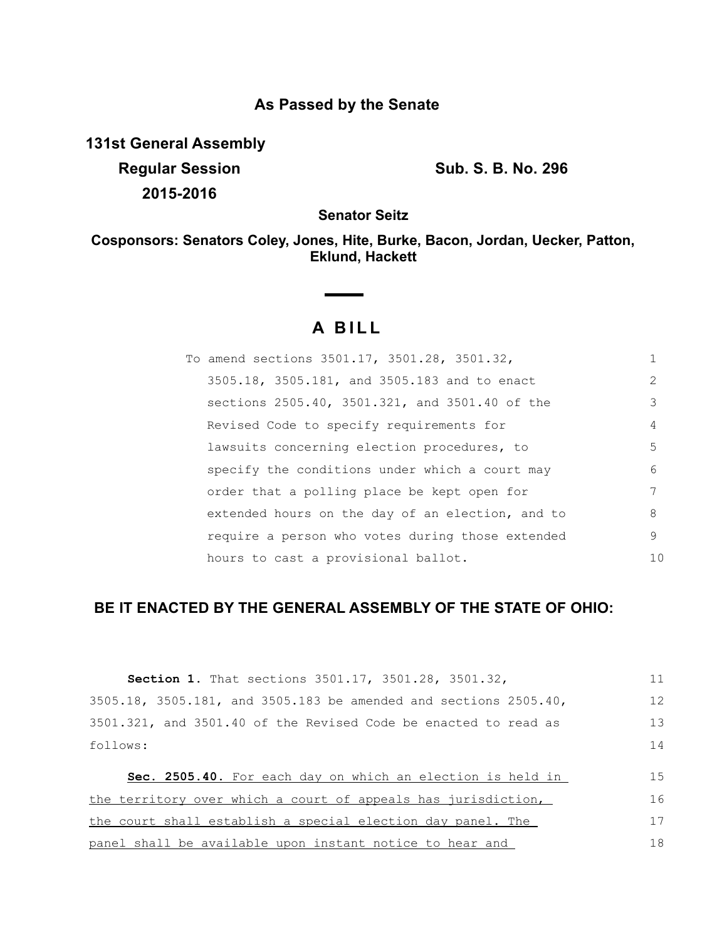# **As Passed by the Senate**

**131st General Assembly Regular Session Sub. S. B. No. 296 2015-2016**

**Senator Seitz**

**Cosponsors: Senators Coley, Jones, Hite, Burke, Bacon, Jordan, Uecker, Patton, Eklund, Hackett**

# **A B I L L**

**Contract Contract Contract** 

| To amend sections 3501.17, 3501.28, 3501.32,     |                |
|--------------------------------------------------|----------------|
| 3505.18, 3505.181, and 3505.183 and to enact     | $\mathcal{L}$  |
| sections 2505.40, 3501.321, and 3501.40 of the   | 3              |
| Revised Code to specify requirements for         | 4              |
| lawsuits concerning election procedures, to      | 5              |
| specify the conditions under which a court may   | 6              |
| order that a polling place be kept open for      |                |
| extended hours on the day of an election, and to | 8              |
| require a person who votes during those extended | 9              |
| hours to cast a provisional ballot.              | 1 <sub>0</sub> |

# **BE IT ENACTED BY THE GENERAL ASSEMBLY OF THE STATE OF OHIO:**

| 3505.18, 3505.181, and 3505.183 be amended and sections 2505.40, |    |
|------------------------------------------------------------------|----|
|                                                                  | 12 |
| 3501.321, and 3501.40 of the Revised Code be enacted to read as  | 13 |
| follows:                                                         | 14 |
|                                                                  | 15 |
| Sec. 2505.40. For each day on which an election is held in       |    |
| the territory over which a court of appeals has jurisdiction,    | 16 |
| the court shall establish a special election day panel. The      | 17 |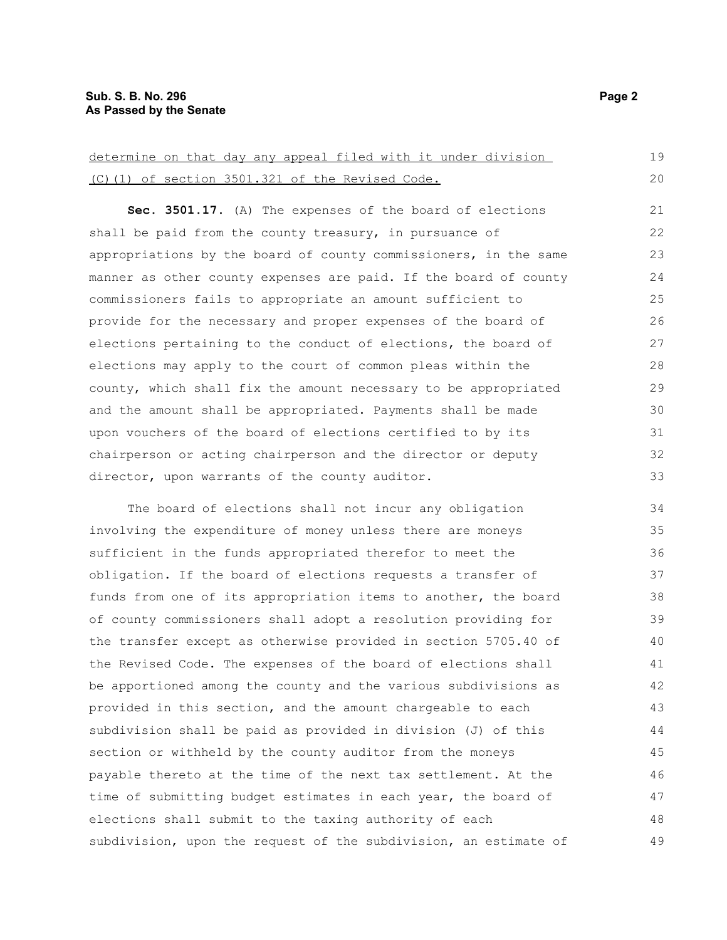determine on that day any appeal filed with it under division (C)(1) of section 3501.321 of the Revised Code. **Sec. 3501.17.** (A) The expenses of the board of elections shall be paid from the county treasury, in pursuance of appropriations by the board of county commissioners, in the same manner as other county expenses are paid. If the board of county commissioners fails to appropriate an amount sufficient to provide for the necessary and proper expenses of the board of elections pertaining to the conduct of elections, the board of elections may apply to the court of common pleas within the county, which shall fix the amount necessary to be appropriated and the amount shall be appropriated. Payments shall be made upon vouchers of the board of elections certified to by its chairperson or acting chairperson and the director or deputy director, upon warrants of the county auditor. The board of elections shall not incur any obligation involving the expenditure of money unless there are moneys sufficient in the funds appropriated therefor to meet the obligation. If the board of elections requests a transfer of funds from one of its appropriation items to another, the board of county commissioners shall adopt a resolution providing for the transfer except as otherwise provided in section 5705.40 of the Revised Code. The expenses of the board of elections shall be apportioned among the county and the various subdivisions as provided in this section, and the amount chargeable to each subdivision shall be paid as provided in division (J) of this section or withheld by the county auditor from the moneys payable thereto at the time of the next tax settlement. At the 19 20 21 22 23 24 25 26 27 28 29 30 31 32 33 34 35 36 37 38 39 40 41 42 43 44 45 46

time of submitting budget estimates in each year, the board of elections shall submit to the taxing authority of each subdivision, upon the request of the subdivision, an estimate of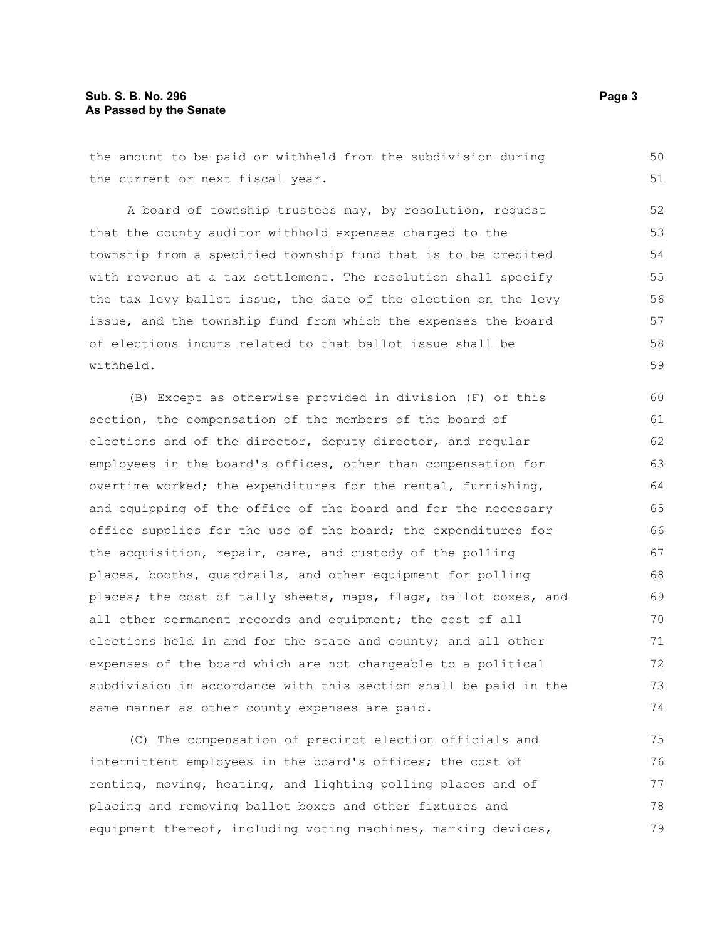# **Sub. S. B. No. 296 Page 3 As Passed by the Senate**

the amount to be paid or withheld from the subdivision during the current or next fiscal year.

A board of township trustees may, by resolution, request that the county auditor withhold expenses charged to the township from a specified township fund that is to be credited with revenue at a tax settlement. The resolution shall specify the tax levy ballot issue, the date of the election on the levy issue, and the township fund from which the expenses the board of elections incurs related to that ballot issue shall be withheld.

(B) Except as otherwise provided in division (F) of this section, the compensation of the members of the board of elections and of the director, deputy director, and regular employees in the board's offices, other than compensation for overtime worked; the expenditures for the rental, furnishing, and equipping of the office of the board and for the necessary office supplies for the use of the board; the expenditures for the acquisition, repair, care, and custody of the polling places, booths, guardrails, and other equipment for polling places; the cost of tally sheets, maps, flags, ballot boxes, and all other permanent records and equipment; the cost of all elections held in and for the state and county; and all other expenses of the board which are not chargeable to a political subdivision in accordance with this section shall be paid in the same manner as other county expenses are paid. 60 61 62 63 64 65 66 67 68 69 70 71 72 73 74

(C) The compensation of precinct election officials and intermittent employees in the board's offices; the cost of renting, moving, heating, and lighting polling places and of placing and removing ballot boxes and other fixtures and equipment thereof, including voting machines, marking devices, 75 76 77 78 79

50 51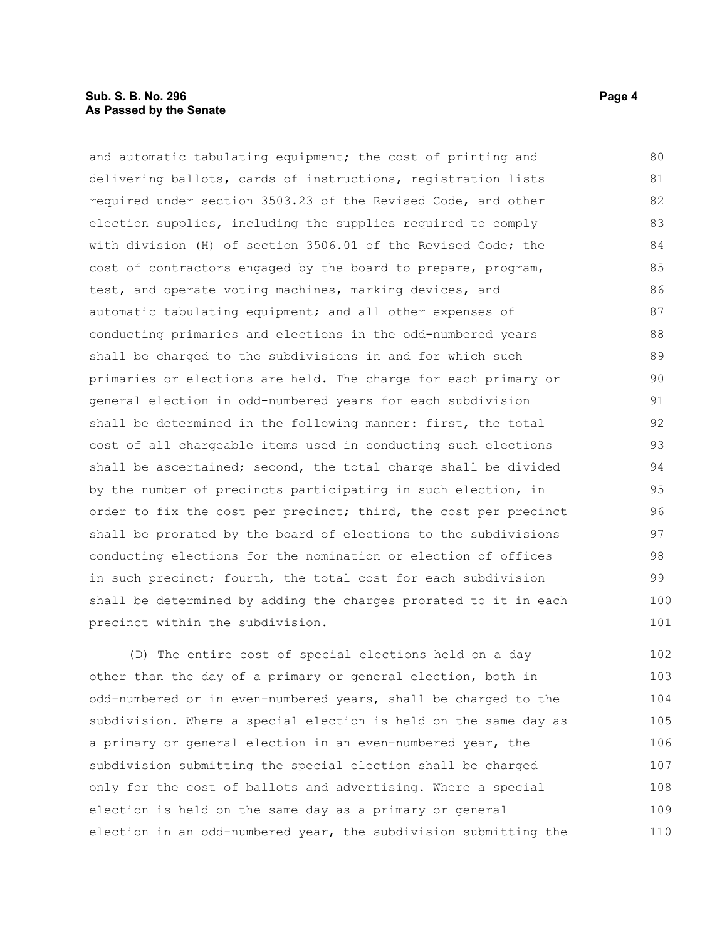## **Sub. S. B. No. 296 Page 4 As Passed by the Senate**

and automatic tabulating equipment; the cost of printing and delivering ballots, cards of instructions, registration lists required under section 3503.23 of the Revised Code, and other election supplies, including the supplies required to comply with division (H) of section 3506.01 of the Revised Code; the cost of contractors engaged by the board to prepare, program, test, and operate voting machines, marking devices, and automatic tabulating equipment; and all other expenses of conducting primaries and elections in the odd-numbered years shall be charged to the subdivisions in and for which such primaries or elections are held. The charge for each primary or general election in odd-numbered years for each subdivision shall be determined in the following manner: first, the total cost of all chargeable items used in conducting such elections shall be ascertained; second, the total charge shall be divided by the number of precincts participating in such election, in order to fix the cost per precinct; third, the cost per precinct shall be prorated by the board of elections to the subdivisions conducting elections for the nomination or election of offices in such precinct; fourth, the total cost for each subdivision shall be determined by adding the charges prorated to it in each precinct within the subdivision. 80 81 82 83 84 85 86 87 88 89 90 91 92 93 94 95 96 97 98 99 100 101

(D) The entire cost of special elections held on a day other than the day of a primary or general election, both in odd-numbered or in even-numbered years, shall be charged to the subdivision. Where a special election is held on the same day as a primary or general election in an even-numbered year, the subdivision submitting the special election shall be charged only for the cost of ballots and advertising. Where a special election is held on the same day as a primary or general election in an odd-numbered year, the subdivision submitting the 102 103 104 105 106 107 108 109 110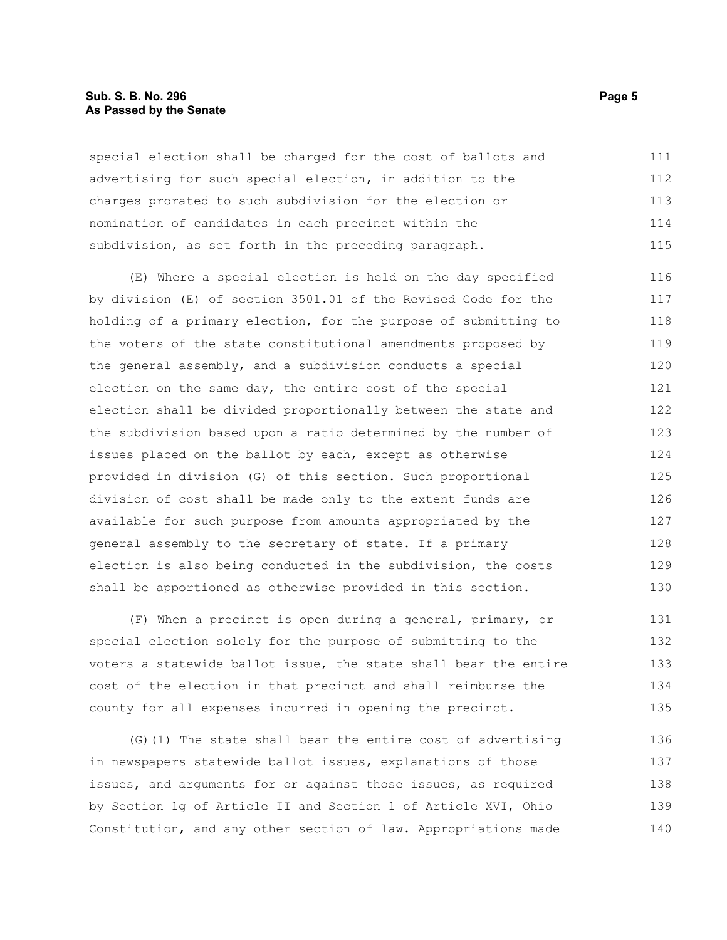# **Sub. S. B. No. 296 Page 5 As Passed by the Senate**

special election shall be charged for the cost of ballots and advertising for such special election, in addition to the charges prorated to such subdivision for the election or nomination of candidates in each precinct within the subdivision, as set forth in the preceding paragraph. 111 112 113 114 115

(E) Where a special election is held on the day specified by division (E) of section 3501.01 of the Revised Code for the holding of a primary election, for the purpose of submitting to the voters of the state constitutional amendments proposed by the general assembly, and a subdivision conducts a special election on the same day, the entire cost of the special election shall be divided proportionally between the state and the subdivision based upon a ratio determined by the number of issues placed on the ballot by each, except as otherwise provided in division (G) of this section. Such proportional division of cost shall be made only to the extent funds are available for such purpose from amounts appropriated by the general assembly to the secretary of state. If a primary election is also being conducted in the subdivision, the costs shall be apportioned as otherwise provided in this section. 116 117 118 119 120 121 122 123 124 125 126 127 128 129 130

(F) When a precinct is open during a general, primary, or special election solely for the purpose of submitting to the voters a statewide ballot issue, the state shall bear the entire cost of the election in that precinct and shall reimburse the county for all expenses incurred in opening the precinct. 131 132 133 134 135

(G)(1) The state shall bear the entire cost of advertising in newspapers statewide ballot issues, explanations of those issues, and arguments for or against those issues, as required by Section 1g of Article II and Section 1 of Article XVI, Ohio Constitution, and any other section of law. Appropriations made 136 137 138 139 140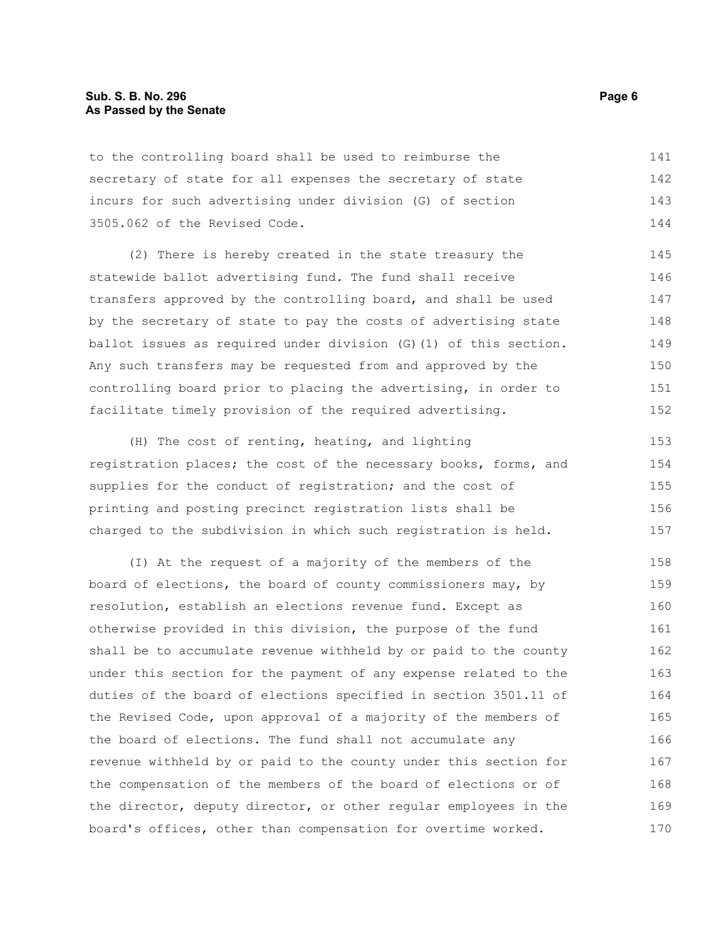## **Sub. S. B. No. 296 Page 6 As Passed by the Senate**

to the controlling board shall be used to reimburse the secretary of state for all expenses the secretary of state incurs for such advertising under division (G) of section 3505.062 of the Revised Code. 141 142 143 144

(2) There is hereby created in the state treasury the statewide ballot advertising fund. The fund shall receive transfers approved by the controlling board, and shall be used by the secretary of state to pay the costs of advertising state ballot issues as required under division (G)(1) of this section. Any such transfers may be requested from and approved by the controlling board prior to placing the advertising, in order to facilitate timely provision of the required advertising. 145 146 147 148 149 150 151 152

(H) The cost of renting, heating, and lighting registration places; the cost of the necessary books, forms, and supplies for the conduct of registration; and the cost of printing and posting precinct registration lists shall be charged to the subdivision in which such registration is held. 153 154 155 156 157

(I) At the request of a majority of the members of the board of elections, the board of county commissioners may, by resolution, establish an elections revenue fund. Except as otherwise provided in this division, the purpose of the fund shall be to accumulate revenue withheld by or paid to the county under this section for the payment of any expense related to the duties of the board of elections specified in section 3501.11 of the Revised Code, upon approval of a majority of the members of the board of elections. The fund shall not accumulate any revenue withheld by or paid to the county under this section for the compensation of the members of the board of elections or of the director, deputy director, or other regular employees in the board's offices, other than compensation for overtime worked. 158 159 160 161 162 163 164 165 166 167 168 169 170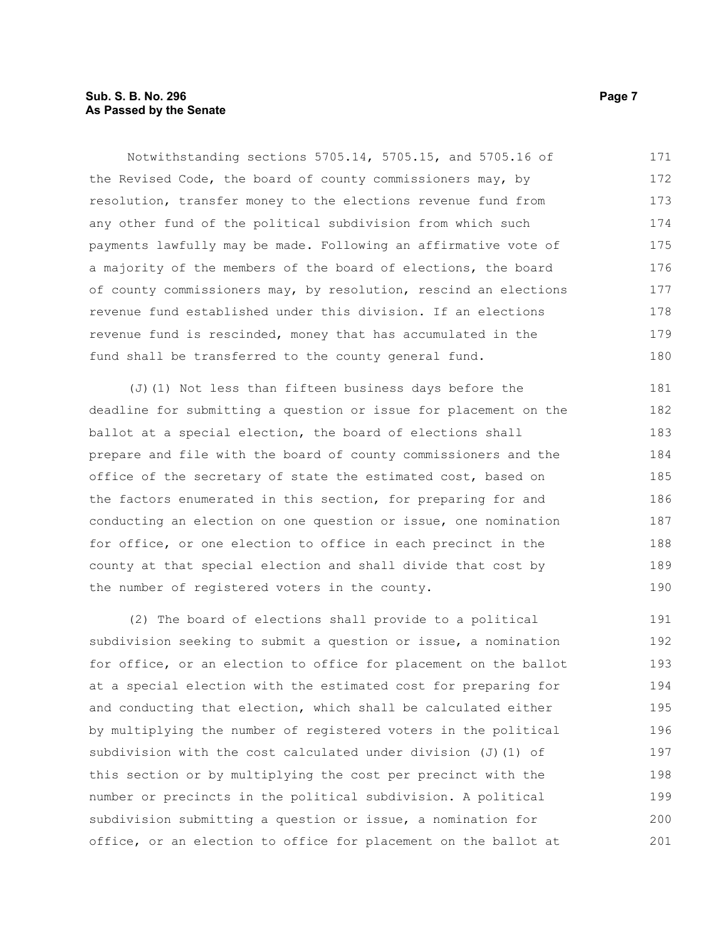# **Sub. S. B. No. 296 Page 7 As Passed by the Senate**

Notwithstanding sections 5705.14, 5705.15, and 5705.16 of the Revised Code, the board of county commissioners may, by resolution, transfer money to the elections revenue fund from any other fund of the political subdivision from which such payments lawfully may be made. Following an affirmative vote of a majority of the members of the board of elections, the board of county commissioners may, by resolution, rescind an elections revenue fund established under this division. If an elections revenue fund is rescinded, money that has accumulated in the fund shall be transferred to the county general fund. 171 172 173 174 175 176 177 178 179 180

(J)(1) Not less than fifteen business days before the deadline for submitting a question or issue for placement on the ballot at a special election, the board of elections shall prepare and file with the board of county commissioners and the office of the secretary of state the estimated cost, based on the factors enumerated in this section, for preparing for and conducting an election on one question or issue, one nomination for office, or one election to office in each precinct in the county at that special election and shall divide that cost by the number of registered voters in the county. 181 182 183 184 185 186 187 188 189 190

(2) The board of elections shall provide to a political subdivision seeking to submit a question or issue, a nomination for office, or an election to office for placement on the ballot at a special election with the estimated cost for preparing for and conducting that election, which shall be calculated either by multiplying the number of registered voters in the political subdivision with the cost calculated under division  $(J)$  (1) of this section or by multiplying the cost per precinct with the number or precincts in the political subdivision. A political subdivision submitting a question or issue, a nomination for office, or an election to office for placement on the ballot at 191 192 193 194 195 196 197 198 199 200 201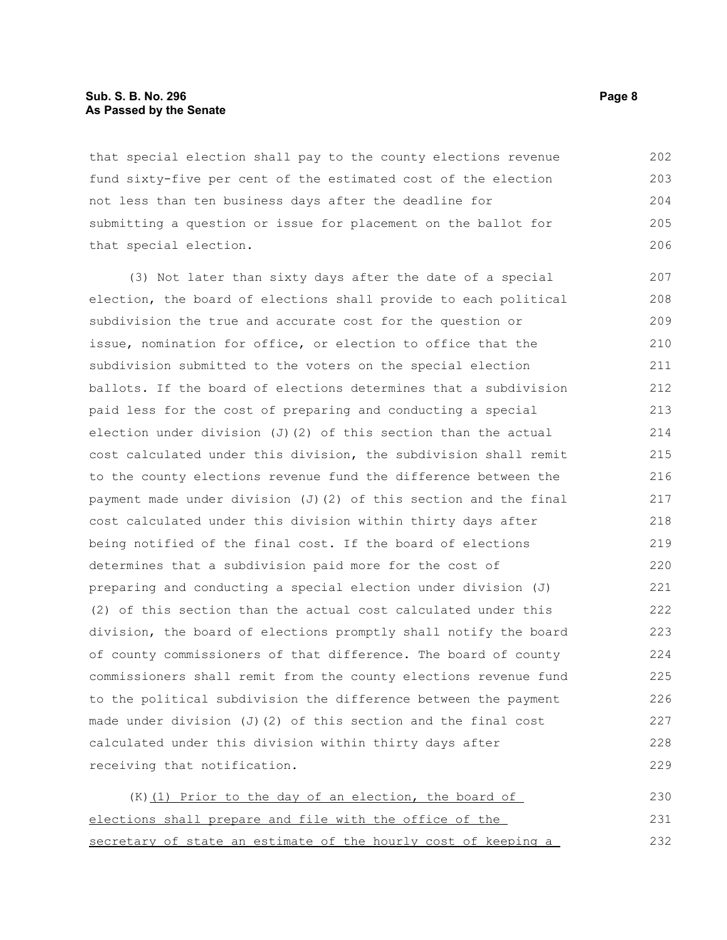#### **Sub. S. B. No. 296 Page 8 As Passed by the Senate**

that special election shall pay to the county elections revenue fund sixty-five per cent of the estimated cost of the election not less than ten business days after the deadline for submitting a question or issue for placement on the ballot for that special election. 202 203 204 205 206

(3) Not later than sixty days after the date of a special election, the board of elections shall provide to each political subdivision the true and accurate cost for the question or issue, nomination for office, or election to office that the subdivision submitted to the voters on the special election ballots. If the board of elections determines that a subdivision paid less for the cost of preparing and conducting a special election under division (J)(2) of this section than the actual cost calculated under this division, the subdivision shall remit to the county elections revenue fund the difference between the payment made under division (J)(2) of this section and the final cost calculated under this division within thirty days after being notified of the final cost. If the board of elections determines that a subdivision paid more for the cost of preparing and conducting a special election under division (J) (2) of this section than the actual cost calculated under this division, the board of elections promptly shall notify the board of county commissioners of that difference. The board of county commissioners shall remit from the county elections revenue fund to the political subdivision the difference between the payment made under division (J)(2) of this section and the final cost calculated under this division within thirty days after receiving that notification. 207 208 209 210 211 212 213 214 215 216 217 218 219 220 221 222 223 224 225 226 227 228 229

(K)(1) Prior to the day of an election, the board of elections shall prepare and file with the office of the secretary of state an estimate of the hourly cost of keeping a 230 231 232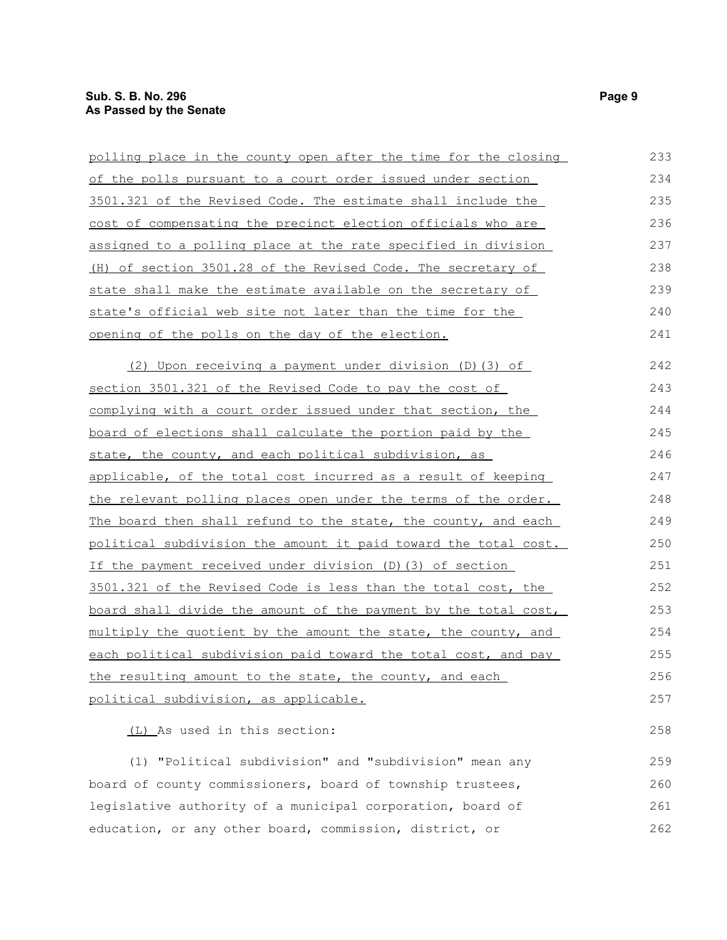| polling place in the county open after the time for the closing       | 233 |
|-----------------------------------------------------------------------|-----|
| of the polls pursuant to a court order issued under section           | 234 |
| 3501.321 of the Revised Code. The estimate shall include the          | 235 |
| cost of compensating the precinct election officials who are          | 236 |
| assigned to a polling place at the rate specified in division         | 237 |
| (H) of section 3501.28 of the Revised Code. The secretary of          | 238 |
| state shall make the estimate available on the secretary of           | 239 |
| state's official web site not later than the time for the             | 240 |
| opening of the polls on the day of the election.                      | 241 |
| (2) Upon receiving a payment under division (D) (3) of                | 242 |
| section 3501.321 of the Revised Code to pay the cost of               | 243 |
| complying with a court order issued under that section, the           | 244 |
| board of elections shall calculate the portion paid by the            | 245 |
| state, the county, and each political subdivision, as                 | 246 |
| applicable, of the total cost incurred as a result of keeping         | 247 |
| <u>the relevant polling places open under the terms of the order.</u> | 248 |
| <u>The board then shall refund to the state, the county, and each</u> | 249 |
| political subdivision the amount it paid toward the total cost.       | 250 |
| If the payment received under division (D) (3) of section             | 251 |
| 3501.321 of the Revised Code is less than the total cost, the         | 252 |
| board shall divide the amount of the payment by the total cost,       | 253 |
| multiply the quotient by the amount the state, the county, and        | 254 |
| each political subdivision paid toward the total cost, and pay        | 255 |
| the resulting amount to the state, the county, and each               | 256 |
| political subdivision, as applicable.                                 | 257 |
| (L) As used in this section:                                          | 258 |
| (1) "Political subdivision" and "subdivision" mean any                | 259 |
| board of county commissioners, board of township trustees,            | 260 |
| legislative authority of a municipal corporation, board of            | 261 |
| education, or any other board, commission, district, or               | 262 |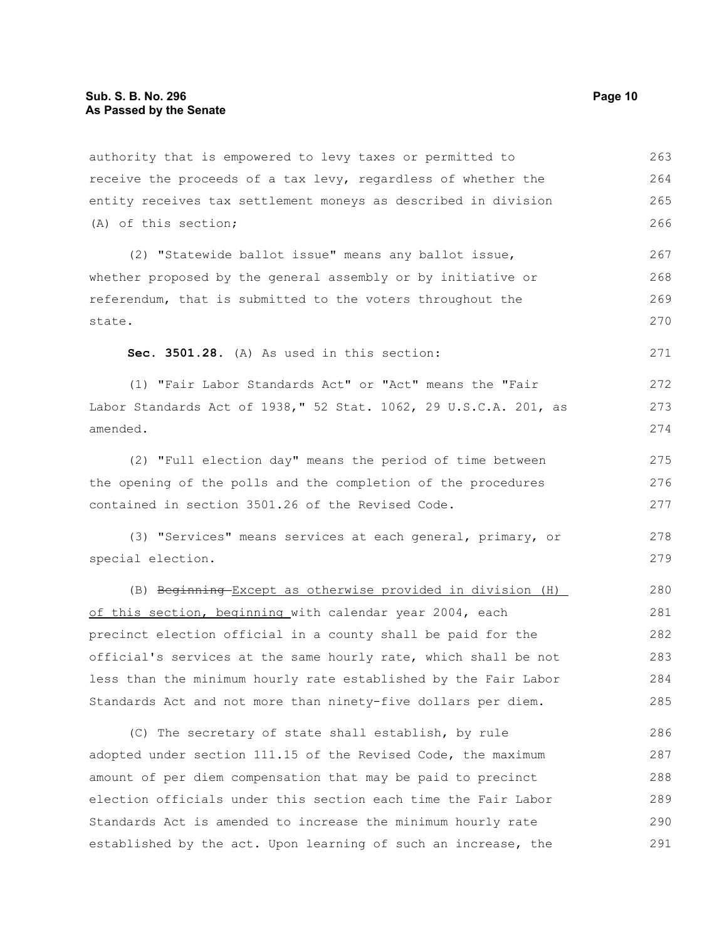authority that is empowered to levy taxes or permitted to receive the proceeds of a tax levy, regardless of whether the entity receives tax settlement moneys as described in division (A) of this section; 263 264 265 266

(2) "Statewide ballot issue" means any ballot issue, whether proposed by the general assembly or by initiative or referendum, that is submitted to the voters throughout the state. 267 268 269 270

**Sec. 3501.28.** (A) As used in this section:

(1) "Fair Labor Standards Act" or "Act" means the "Fair Labor Standards Act of 1938," 52 Stat. 1062, 29 U.S.C.A. 201, as amended.

(2) "Full election day" means the period of time between the opening of the polls and the completion of the procedures contained in section 3501.26 of the Revised Code. 275 276 277

(3) "Services" means services at each general, primary, or special election.

(B) Beginning Except as otherwise provided in division (H) of this section, beginning with calendar year 2004, each precinct election official in a county shall be paid for the official's services at the same hourly rate, which shall be not less than the minimum hourly rate established by the Fair Labor Standards Act and not more than ninety-five dollars per diem. 280 281 282 283 284 285

(C) The secretary of state shall establish, by rule adopted under section 111.15 of the Revised Code, the maximum amount of per diem compensation that may be paid to precinct election officials under this section each time the Fair Labor Standards Act is amended to increase the minimum hourly rate established by the act. Upon learning of such an increase, the 286 287 288 289 290 291

271

272 273 274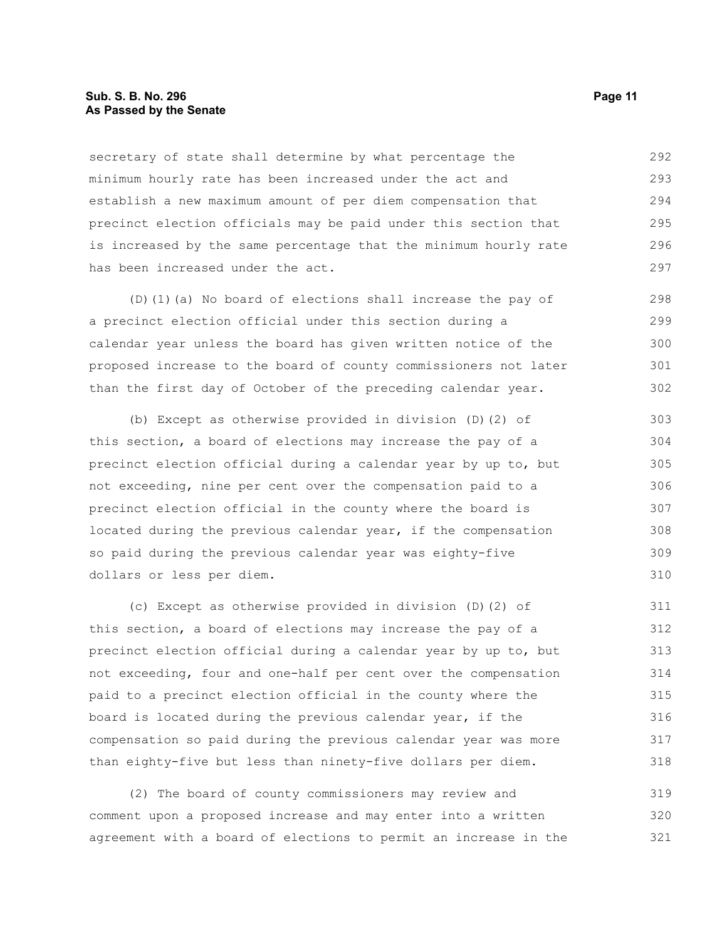### **Sub. S. B. No. 296 Page 11 As Passed by the Senate**

secretary of state shall determine by what percentage the minimum hourly rate has been increased under the act and establish a new maximum amount of per diem compensation that precinct election officials may be paid under this section that is increased by the same percentage that the minimum hourly rate has been increased under the act. 292 293 294 295 296 297

(D)(1)(a) No board of elections shall increase the pay of a precinct election official under this section during a calendar year unless the board has given written notice of the proposed increase to the board of county commissioners not later than the first day of October of the preceding calendar year. 298 299 300 301 302

(b) Except as otherwise provided in division (D)(2) of this section, a board of elections may increase the pay of a precinct election official during a calendar year by up to, but not exceeding, nine per cent over the compensation paid to a precinct election official in the county where the board is located during the previous calendar year, if the compensation so paid during the previous calendar year was eighty-five dollars or less per diem.

(c) Except as otherwise provided in division (D)(2) of this section, a board of elections may increase the pay of a precinct election official during a calendar year by up to, but not exceeding, four and one-half per cent over the compensation paid to a precinct election official in the county where the board is located during the previous calendar year, if the compensation so paid during the previous calendar year was more than eighty-five but less than ninety-five dollars per diem. 311 312 313 314 315 316 317 318

(2) The board of county commissioners may review and comment upon a proposed increase and may enter into a written agreement with a board of elections to permit an increase in the 319 320 321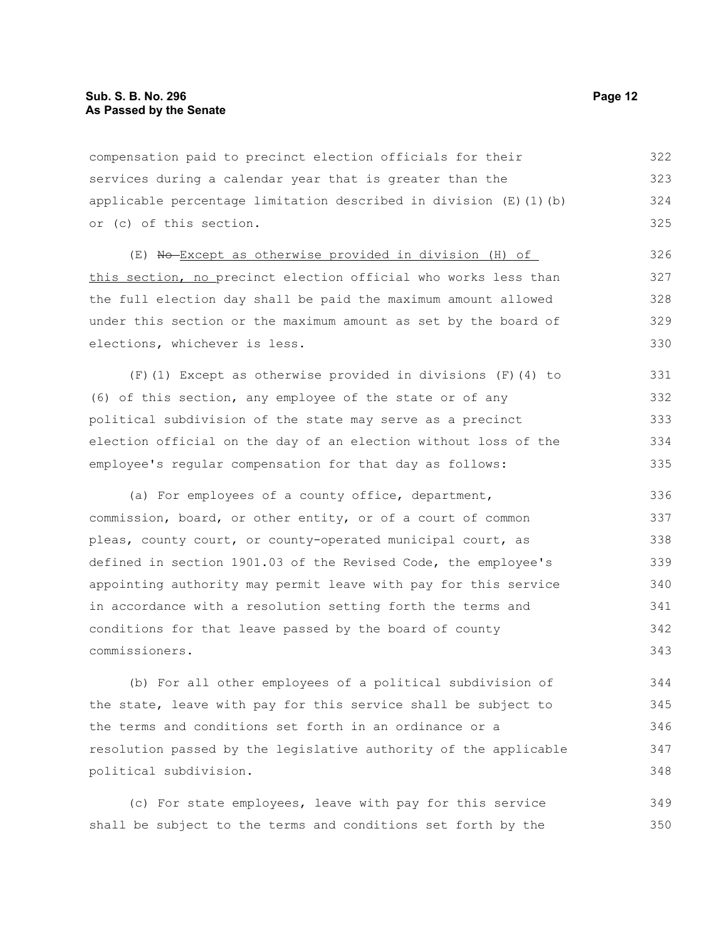compensation paid to precinct election officials for their services during a calendar year that is greater than the applicable percentage limitation described in division  $(E)$  (1)(b) or (c) of this section. 322 323 324 325

(E) No Except as otherwise provided in division (H) of this section, no precinct election official who works less than the full election day shall be paid the maximum amount allowed under this section or the maximum amount as set by the board of elections, whichever is less.

(F)(1) Except as otherwise provided in divisions (F)(4) to (6) of this section, any employee of the state or of any political subdivision of the state may serve as a precinct election official on the day of an election without loss of the employee's regular compensation for that day as follows: 331 332 333 334 335

(a) For employees of a county office, department, commission, board, or other entity, or of a court of common pleas, county court, or county-operated municipal court, as defined in section 1901.03 of the Revised Code, the employee's appointing authority may permit leave with pay for this service in accordance with a resolution setting forth the terms and conditions for that leave passed by the board of county commissioners. 336 337 338 339 340 341 342 343

(b) For all other employees of a political subdivision of the state, leave with pay for this service shall be subject to the terms and conditions set forth in an ordinance or a resolution passed by the legislative authority of the applicable political subdivision. 344 345 346 347 348

(c) For state employees, leave with pay for this service shall be subject to the terms and conditions set forth by the 349 350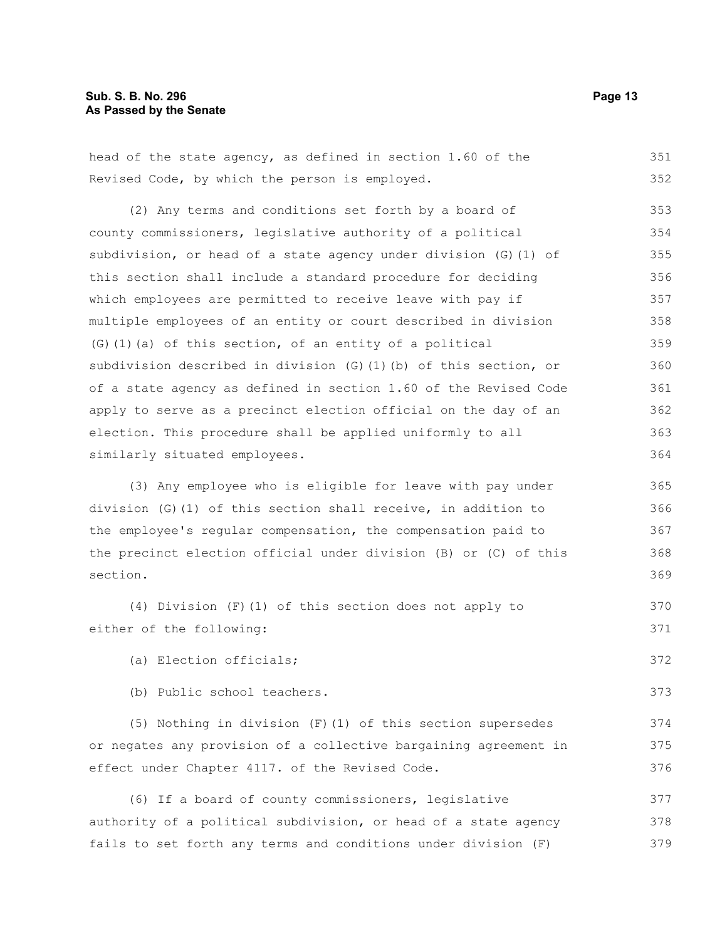head of the state agency, as defined in section 1.60 of the Revised Code, by which the person is employed.

(2) Any terms and conditions set forth by a board of county commissioners, legislative authority of a political subdivision, or head of a state agency under division (G)(1) of this section shall include a standard procedure for deciding which employees are permitted to receive leave with pay if multiple employees of an entity or court described in division (G)(1)(a) of this section, of an entity of a political subdivision described in division (G)(1)(b) of this section, or of a state agency as defined in section 1.60 of the Revised Code apply to serve as a precinct election official on the day of an election. This procedure shall be applied uniformly to all similarly situated employees. 353 354 355 356 357 358 359 360 361 362 363 364

(3) Any employee who is eligible for leave with pay under division (G)(1) of this section shall receive, in addition to the employee's regular compensation, the compensation paid to the precinct election official under division (B) or (C) of this section. 365 366 367 368 369

(4) Division (F)(1) of this section does not apply to either of the following: 370 371

(a) Election officials;

(b) Public school teachers.

(5) Nothing in division (F)(1) of this section supersedes or negates any provision of a collective bargaining agreement in effect under Chapter 4117. of the Revised Code.

(6) If a board of county commissioners, legislative authority of a political subdivision, or head of a state agency fails to set forth any terms and conditions under division (F) 377 378 379

351 352

372

373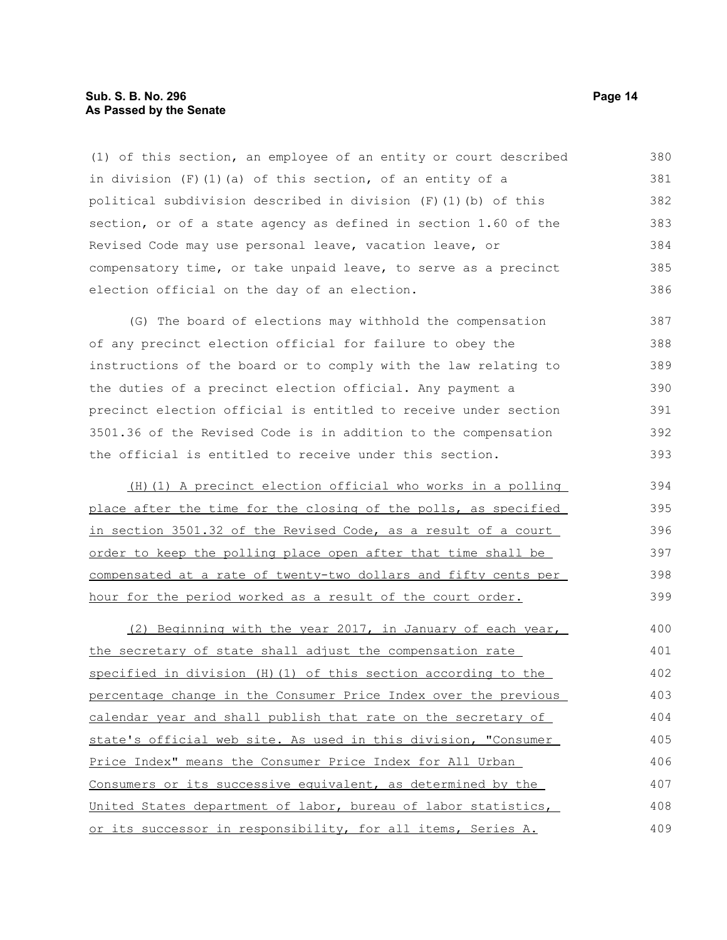#### **Sub. S. B. No. 296 Page 14 As Passed by the Senate**

(1) of this section, an employee of an entity or court described in division  $(F)$  (1)(a) of this section, of an entity of a political subdivision described in division (F)(1)(b) of this section, or of a state agency as defined in section 1.60 of the Revised Code may use personal leave, vacation leave, or compensatory time, or take unpaid leave, to serve as a precinct election official on the day of an election. 380 381 382 383 384 385 386

(G) The board of elections may withhold the compensation of any precinct election official for failure to obey the instructions of the board or to comply with the law relating to the duties of a precinct election official. Any payment a precinct election official is entitled to receive under section 3501.36 of the Revised Code is in addition to the compensation the official is entitled to receive under this section. 387 388 389 390 391 392 393

 (H)(1) A precinct election official who works in a polling place after the time for the closing of the polls, as specified in section 3501.32 of the Revised Code, as a result of a court order to keep the polling place open after that time shall be compensated at a rate of twenty-two dollars and fifty cents per hour for the period worked as a result of the court order. 394 395 396 397 398 399

(2) Beginning with the year 2017, in January of each year, the secretary of state shall adjust the compensation rate specified in division (H)(1) of this section according to the percentage change in the Consumer Price Index over the previous calendar year and shall publish that rate on the secretary of state's official web site. As used in this division, "Consumer Price Index" means the Consumer Price Index for All Urban Consumers or its successive equivalent, as determined by the United States department of labor, bureau of labor statistics, or its successor in responsibility, for all items, Series A. 400 401 402 403 404 405 406 407 408 409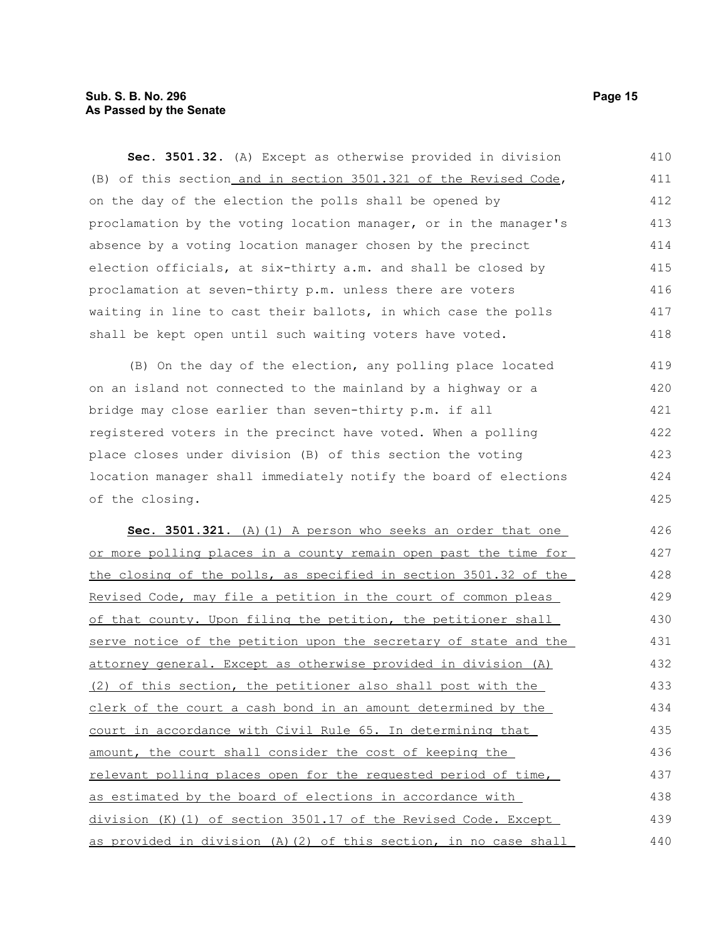# **Sub. S. B. No. 296 Page 15 As Passed by the Senate**

**Sec. 3501.32.** (A) Except as otherwise provided in division (B) of this section and in section 3501.321 of the Revised Code, on the day of the election the polls shall be opened by proclamation by the voting location manager, or in the manager's absence by a voting location manager chosen by the precinct election officials, at six-thirty a.m. and shall be closed by proclamation at seven-thirty p.m. unless there are voters waiting in line to cast their ballots, in which case the polls shall be kept open until such waiting voters have voted. 410 411 412 413 414 415 416 417 418

(B) On the day of the election, any polling place located on an island not connected to the mainland by a highway or a bridge may close earlier than seven-thirty p.m. if all registered voters in the precinct have voted. When a polling place closes under division (B) of this section the voting location manager shall immediately notify the board of elections of the closing. 419 420 421 422 423 424 425

 **Sec. 3501.321.** (A)(1) A person who seeks an order that one or more polling places in a county remain open past the time for the closing of the polls, as specified in section 3501.32 of the Revised Code, may file a petition in the court of common pleas of that county. Upon filing the petition, the petitioner shall serve notice of the petition upon the secretary of state and the attorney general. Except as otherwise provided in division (A) (2) of this section, the petitioner also shall post with the clerk of the court a cash bond in an amount determined by the court in accordance with Civil Rule 65. In determining that amount, the court shall consider the cost of keeping the relevant polling places open for the requested period of time, as estimated by the board of elections in accordance with division (K)(1) of section 3501.17 of the Revised Code. Except as provided in division (A)(2) of this section, in no case shall 426 427 428 429 430 431 432 433 434 435 436 437 438 439 440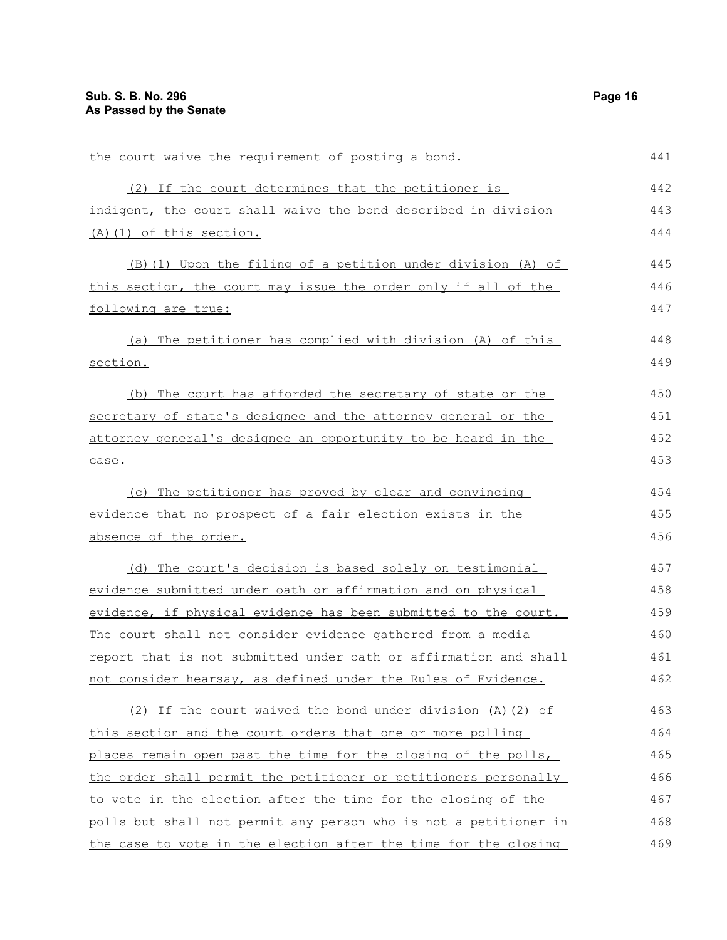| the court waive the requirement of posting a bond.                      | 441 |
|-------------------------------------------------------------------------|-----|
| (2) If the court determines that the petitioner is                      | 442 |
| indigent, the court shall waive the bond described in division          | 443 |
| (A) (1) of this section.                                                | 444 |
| (B) (1) Upon the filing of a petition under division (A) of             | 445 |
| this section, the court may issue the order only if all of the          | 446 |
| following are true:                                                     | 447 |
| (a) The petitioner has complied with division (A) of this               | 448 |
| section.                                                                | 449 |
| (b) The court has afforded the secretary of state or the                | 450 |
| secretary of state's designee and the attorney general or the           | 451 |
| attorney general's designee an opportunity to be heard in the           | 452 |
| case.                                                                   | 453 |
| (c) The petitioner has proved by clear and convincing                   | 454 |
| evidence that no prospect of a fair election exists in the              | 455 |
| absence of the order.                                                   | 456 |
| (d) The court's decision is based solely on testimonial                 | 457 |
| evidence submitted under oath or affirmation and on physical            | 458 |
| evidence, if physical evidence has been submitted to the court.         | 459 |
| The court shall not consider evidence gathered from a media             | 460 |
| <u>report that is not submitted under oath or affirmation and shall</u> | 461 |
| not consider hearsay, as defined under the Rules of Evidence.           | 462 |
| (2) If the court waived the bond under division (A) (2) of              | 463 |
| this section and the court orders that one or more polling              | 464 |
| places remain open past the time for the closing of the polls,          | 465 |
| the order shall permit the petitioner or petitioners personally         | 466 |
| to vote in the election after the time for the closing of the           | 467 |
| polls but shall not permit any person who is not a petitioner in        | 468 |
| the case to vote in the election after the time for the closing         | 469 |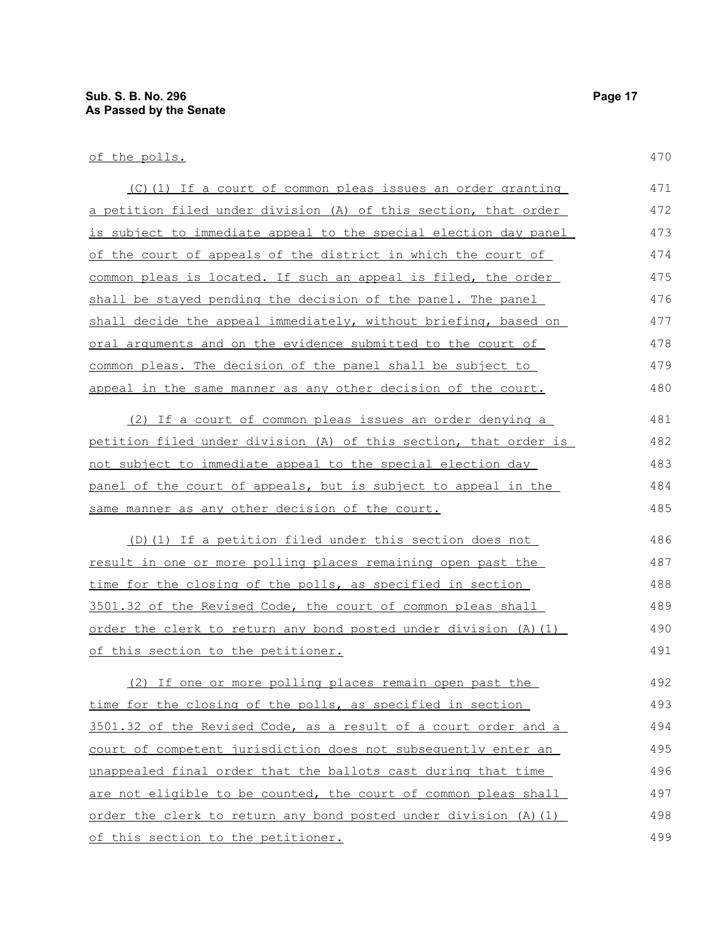| (C)(1) If a court of common pleas issues an order granting       | 471 |
|------------------------------------------------------------------|-----|
| a petition filed under division (A) of this section, that order  | 472 |
| is subject to immediate appeal to the special election day panel | 473 |
| of the court of appeals of the district in which the court of    | 474 |
| common pleas is located. If such an appeal is filed, the order   | 475 |
| shall be stayed pending the decision of the panel. The panel     | 476 |
| shall decide the appeal immediately, without briefing, based on  | 477 |
| oral arguments and on the evidence submitted to the court of     | 478 |
| common pleas. The decision of the panel shall be subject to      | 479 |
| appeal in the same manner as any other decision of the court.    | 480 |
| (2) If a court of common pleas issues an order denying a         | 481 |
| petition filed under division (A) of this section, that order is | 482 |
| not subject to immediate appeal to the special election day      | 483 |
| panel of the court of appeals, but is subject to appeal in the   | 484 |
| same manner as any other decision of the court.                  | 485 |
| (D) (1) If a petition filed under this section does not          | 486 |
| result in one or more polling places remaining open past the     | 487 |
| time for the closing of the polls, as specified in section       | 488 |
| 3501.32 of the Revised Code, the court of common pleas shall     | 489 |
| order the clerk to return any bond posted under division (A) (1) | 490 |
| of this section to the petitioner.                               | 491 |
| (2) If one or more polling places remain open past the           | 492 |
| time for the closing of the polls, as specified in section       | 493 |
| 3501.32 of the Revised Code, as a result of a court order and a  | 494 |
| court of competent jurisdiction does not subsequently enter an   | 495 |
| unappealed final order that the ballots cast during that time    | 496 |
| are not eligible to be counted, the court of common pleas shall  | 497 |
| order the clerk to return any bond posted under division (A) (1) | 498 |
| of this section to the petitioner.                               | 499 |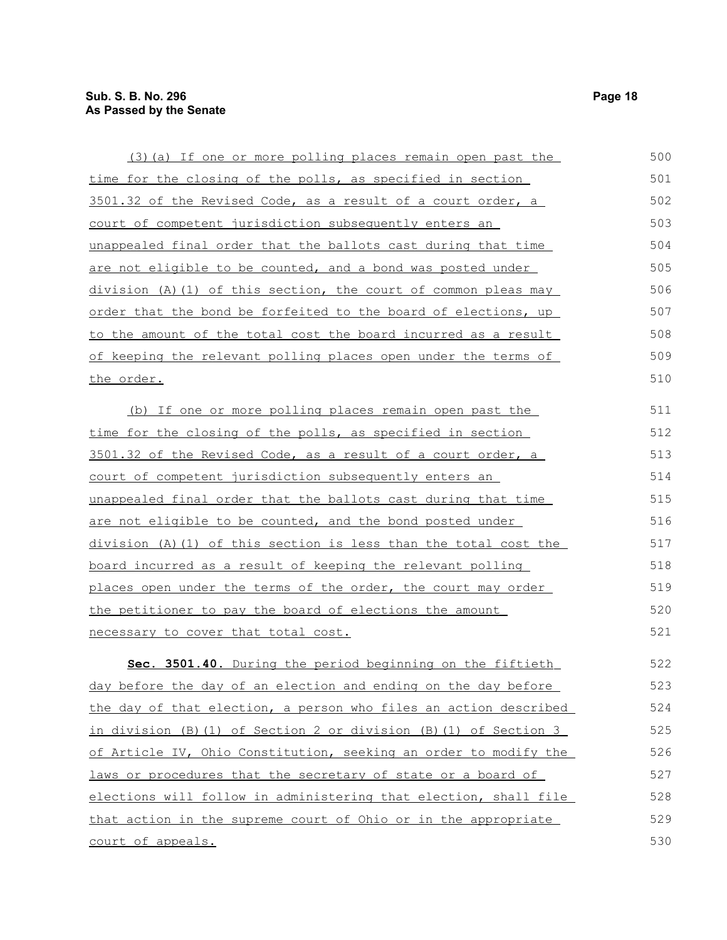court of appeals.

| (3) (a) If one or more polling places remain open past the           | 500 |
|----------------------------------------------------------------------|-----|
| time for the closing of the polls, as specified in section           | 501 |
| 3501.32 of the Revised Code, as a result of a court order, a         | 502 |
| <u>court of competent jurisdiction subsequently enters an</u>        | 503 |
| <u>unappealed final order that the ballots cast during that time</u> | 504 |
| are not eligible to be counted, and a bond was posted under          | 505 |
| division (A) (1) of this section, the court of common pleas may      | 506 |
| order that the bond be forfeited to the board of elections, up       | 507 |
| to the amount of the total cost the board incurred as a result       | 508 |
| of keeping the relevant polling places open under the terms of       | 509 |
| <u>the order.</u>                                                    | 510 |
|                                                                      | 511 |
| (b) If one or more polling places remain open past the               | 512 |
| <u>time for the closing of the polls, as specified in section</u>    | 513 |
| 3501.32 of the Revised Code, as a result of a court order, a         |     |
| <u>court of competent jurisdiction subsequently enters an </u>       | 514 |
| <u>unappealed final order that the ballots cast during that time</u> | 515 |
| are not eligible to be counted, and the bond posted under            | 516 |
| division (A)(1) of this section is less than the total cost the      | 517 |
| board incurred as a result of keeping the relevant polling           | 518 |
| places open under the terms of the order, the court may order        | 519 |
| <u>the petitioner to pay the board of elections the amount</u>       | 520 |
| necessary to cover that total cost.                                  | 521 |
| Sec. 3501.40. During the period beginning on the fiftieth            | 522 |
| day before the day of an election and ending on the day before       | 523 |
| the day of that election, a person who files an action described     | 524 |
| in division (B)(1) of Section 2 or division (B)(1) of Section 3      | 525 |
| of Article IV, Ohio Constitution, seeking an order to modify the     | 526 |
| laws or procedures that the secretary of state or a board of         | 527 |
| elections will follow in administering that election, shall file     | 528 |
| that action in the supreme court of Ohio or in the appropriate       | 529 |
|                                                                      |     |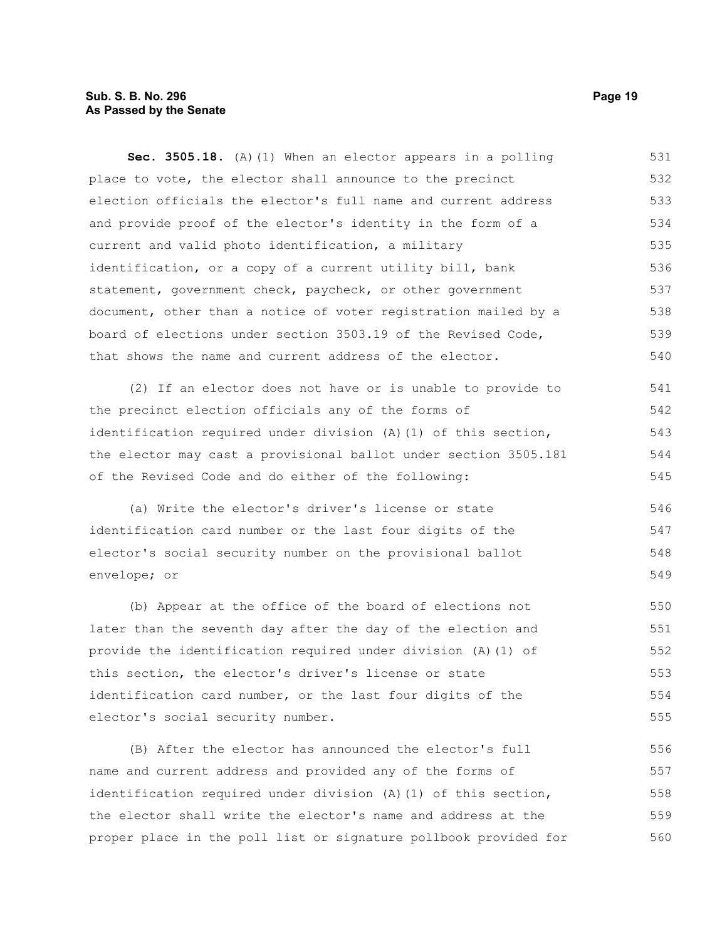# **Sub. S. B. No. 296 Page 19 As Passed by the Senate**

**Sec. 3505.18.** (A)(1) When an elector appears in a polling place to vote, the elector shall announce to the precinct election officials the elector's full name and current address and provide proof of the elector's identity in the form of a current and valid photo identification, a military identification, or a copy of a current utility bill, bank statement, government check, paycheck, or other government document, other than a notice of voter registration mailed by a board of elections under section 3503.19 of the Revised Code, that shows the name and current address of the elector. 531 532 533 534 535 536 537 538 539 540

(2) If an elector does not have or is unable to provide to the precinct election officials any of the forms of identification required under division (A)(1) of this section, the elector may cast a provisional ballot under section 3505.181 of the Revised Code and do either of the following: 541 542 543 544 545

(a) Write the elector's driver's license or state identification card number or the last four digits of the elector's social security number on the provisional ballot envelope; or 546 547 548 549

(b) Appear at the office of the board of elections not later than the seventh day after the day of the election and provide the identification required under division (A)(1) of this section, the elector's driver's license or state identification card number, or the last four digits of the elector's social security number. 550 551 552 553 554 555

(B) After the elector has announced the elector's full name and current address and provided any of the forms of identification required under division (A)(1) of this section, the elector shall write the elector's name and address at the proper place in the poll list or signature pollbook provided for 556 557 558 559 560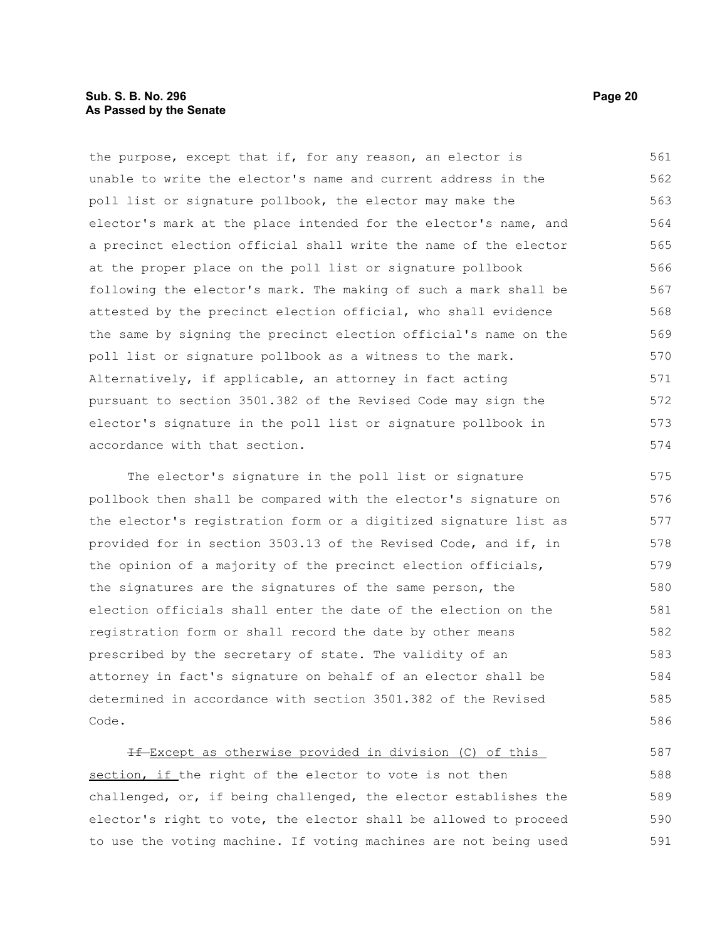the purpose, except that if, for any reason, an elector is unable to write the elector's name and current address in the poll list or signature pollbook, the elector may make the elector's mark at the place intended for the elector's name, and a precinct election official shall write the name of the elector at the proper place on the poll list or signature pollbook following the elector's mark. The making of such a mark shall be attested by the precinct election official, who shall evidence the same by signing the precinct election official's name on the poll list or signature pollbook as a witness to the mark. Alternatively, if applicable, an attorney in fact acting pursuant to section 3501.382 of the Revised Code may sign the elector's signature in the poll list or signature pollbook in accordance with that section. 561 562 563 564 565 566 567 568 569 570 571 572 573 574

The elector's signature in the poll list or signature pollbook then shall be compared with the elector's signature on the elector's registration form or a digitized signature list as provided for in section 3503.13 of the Revised Code, and if, in the opinion of a majority of the precinct election officials, the signatures are the signatures of the same person, the election officials shall enter the date of the election on the registration form or shall record the date by other means prescribed by the secretary of state. The validity of an attorney in fact's signature on behalf of an elector shall be determined in accordance with section 3501.382 of the Revised Code. 575 576 577 578 579 580 581 582 583 584 585 586

If Except as otherwise provided in division (C) of this section, if the right of the elector to vote is not then challenged, or, if being challenged, the elector establishes the elector's right to vote, the elector shall be allowed to proceed to use the voting machine. If voting machines are not being used 587 588 589 590 591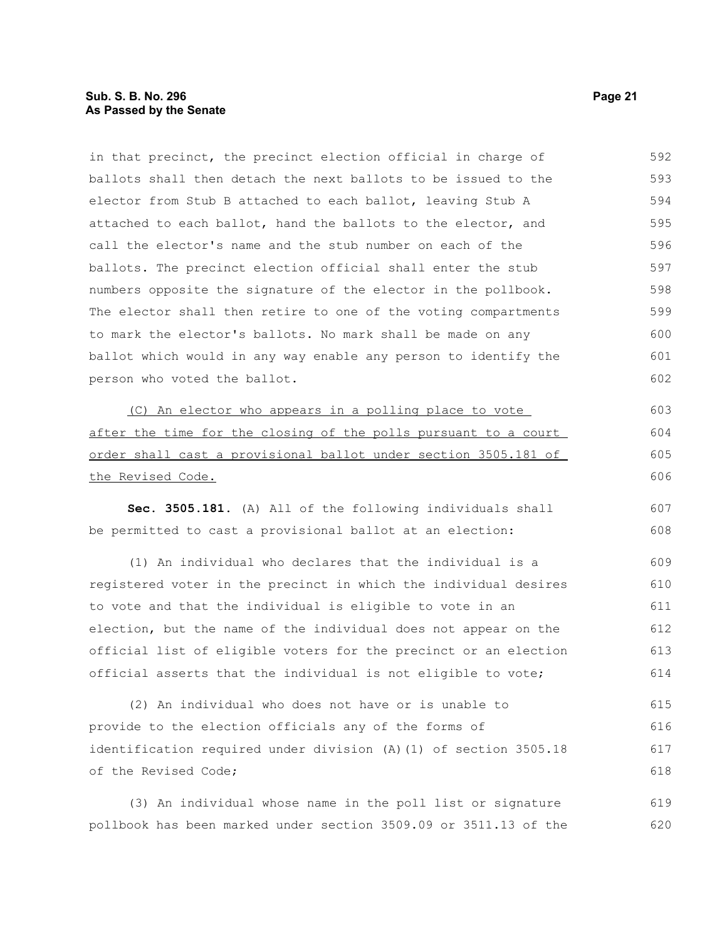# **Sub. S. B. No. 296 Page 21 As Passed by the Senate**

of the Revised Code;

ballots shall then detach the next ballots to be issued to the elector from Stub B attached to each ballot, leaving Stub A attached to each ballot, hand the ballots to the elector, and call the elector's name and the stub number on each of the ballots. The precinct election official shall enter the stub numbers opposite the signature of the elector in the pollbook. The elector shall then retire to one of the voting compartments to mark the elector's ballots. No mark shall be made on any ballot which would in any way enable any person to identify the person who voted the ballot. (C) An elector who appears in a polling place to vote after the time for the closing of the polls pursuant to a court order shall cast a provisional ballot under section 3505.181 of the Revised Code. **Sec. 3505.181.** (A) All of the following individuals shall be permitted to cast a provisional ballot at an election: (1) An individual who declares that the individual is a registered voter in the precinct in which the individual desires to vote and that the individual is eligible to vote in an election, but the name of the individual does not appear on the official list of eligible voters for the precinct or an election official asserts that the individual is not eligible to vote; (2) An individual who does not have or is unable to provide to the election officials any of the forms of identification required under division (A)(1) of section 3505.18 593 594 595 596 597 598 599 600 601 602 603 604 605 606 607 608 609 610 611 612 613 614 615 616 617

in that precinct, the precinct election official in charge of

(3) An individual whose name in the poll list or signature pollbook has been marked under section 3509.09 or 3511.13 of the 619 620

592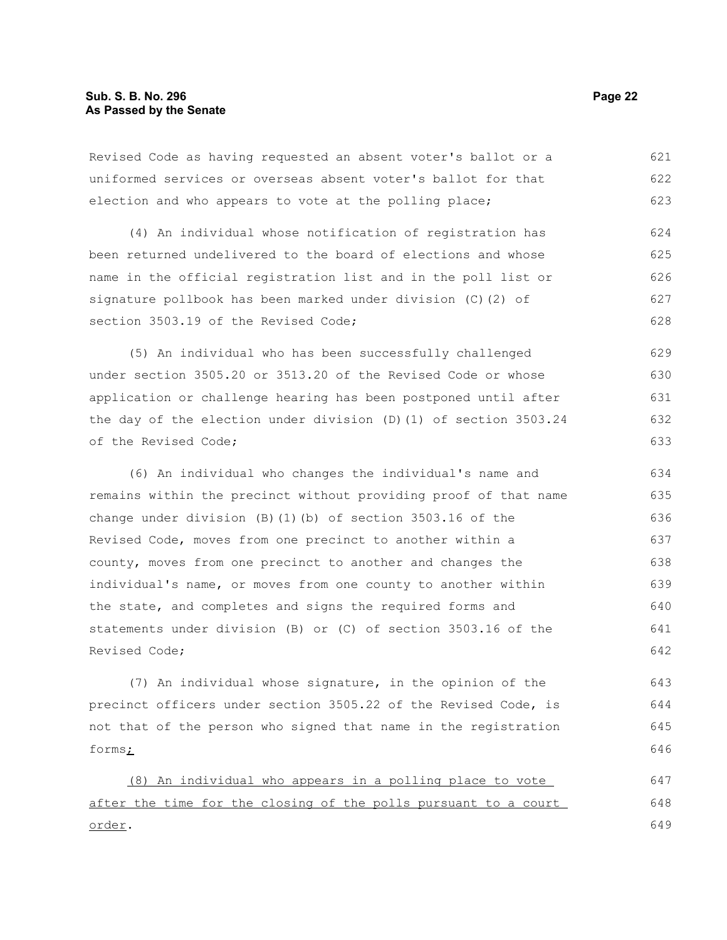Revised Code as having requested an absent voter's ballot or a uniformed services or overseas absent voter's ballot for that election and who appears to vote at the polling place; 621 622 623

(4) An individual whose notification of registration has been returned undelivered to the board of elections and whose name in the official registration list and in the poll list or signature pollbook has been marked under division (C)(2) of section 3503.19 of the Revised Code; 624 625 626 627 628

(5) An individual who has been successfully challenged under section 3505.20 or 3513.20 of the Revised Code or whose application or challenge hearing has been postponed until after the day of the election under division (D)(1) of section 3503.24 of the Revised Code; 629 630 631 632 633

(6) An individual who changes the individual's name and remains within the precinct without providing proof of that name change under division  $(B)$  (1)(b) of section 3503.16 of the Revised Code, moves from one precinct to another within a county, moves from one precinct to another and changes the individual's name, or moves from one county to another within the state, and completes and signs the required forms and statements under division (B) or (C) of section 3503.16 of the Revised Code; 634 635 636 637 638 639 640 641 642

(7) An individual whose signature, in the opinion of the precinct officers under section 3505.22 of the Revised Code, is not that of the person who signed that name in the registration forms; 643 644 645 646

(8) An individual who appears in a polling place to vote after the time for the closing of the polls pursuant to a court order. 647 648 649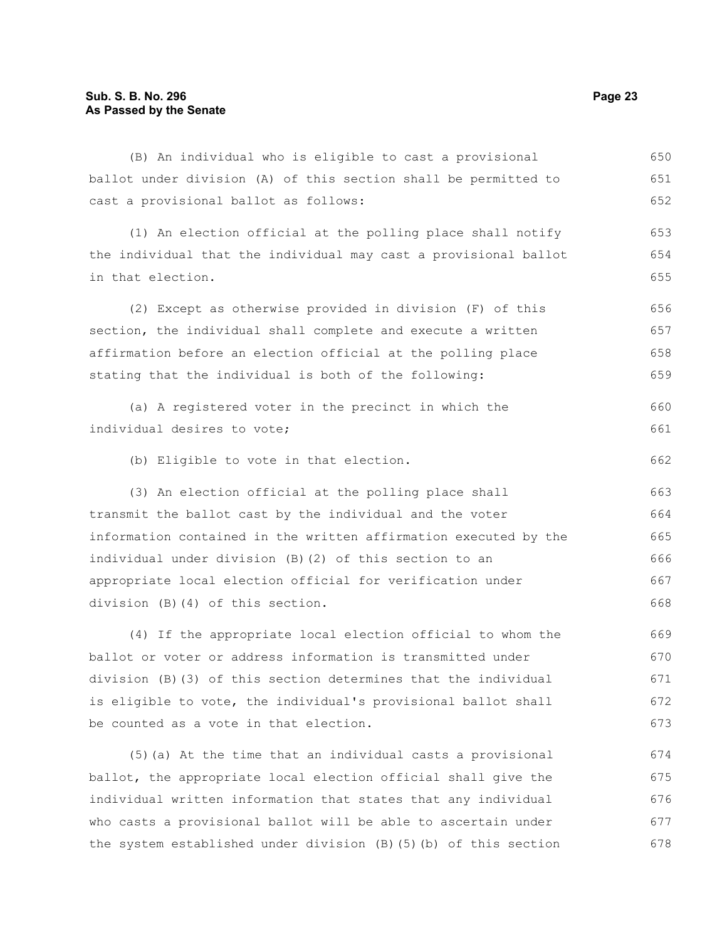ballot under division (A) of this section shall be permitted to cast a provisional ballot as follows: (1) An election official at the polling place shall notify the individual that the individual may cast a provisional ballot in that election. (2) Except as otherwise provided in division (F) of this section, the individual shall complete and execute a written affirmation before an election official at the polling place stating that the individual is both of the following: (a) A registered voter in the precinct in which the individual desires to vote; (b) Eligible to vote in that election. 651 652 653 654 655 656 657 658 659 660 661 662

(B) An individual who is eligible to cast a provisional

(3) An election official at the polling place shall transmit the ballot cast by the individual and the voter information contained in the written affirmation executed by the individual under division (B)(2) of this section to an appropriate local election official for verification under division (B)(4) of this section.

(4) If the appropriate local election official to whom the ballot or voter or address information is transmitted under division (B)(3) of this section determines that the individual is eligible to vote, the individual's provisional ballot shall be counted as a vote in that election. 669 670 671 672 673

(5)(a) At the time that an individual casts a provisional ballot, the appropriate local election official shall give the individual written information that states that any individual who casts a provisional ballot will be able to ascertain under the system established under division (B)(5)(b) of this section 674 675 676 677 678

650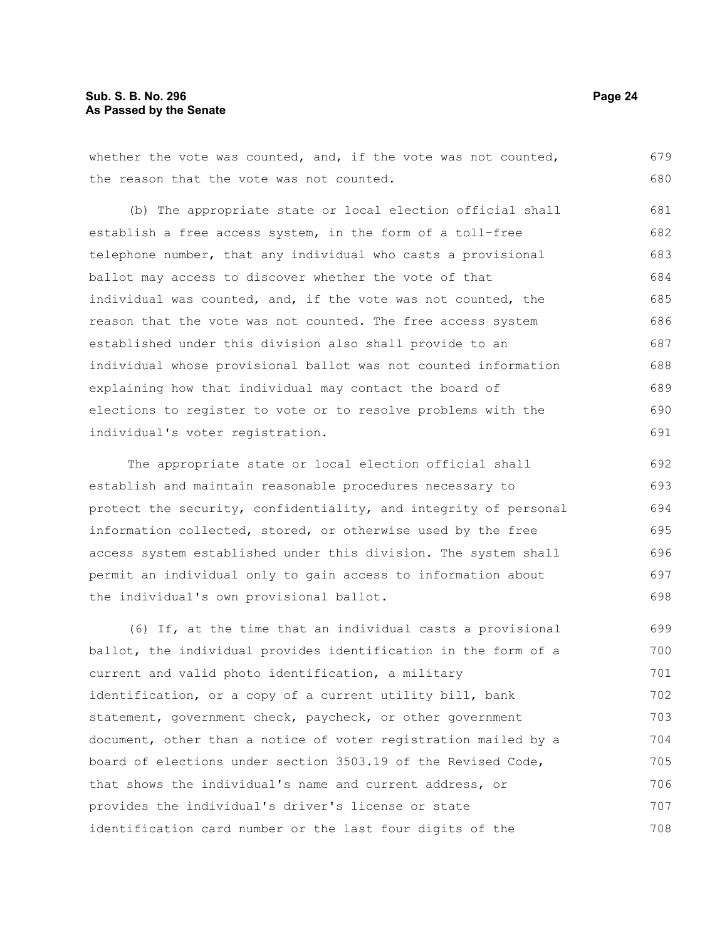679

706

whether the vote was counted, and, if the vote was not counted, the reason that the vote was not counted. (b) The appropriate state or local election official shall establish a free access system, in the form of a toll-free telephone number, that any individual who casts a provisional ballot may access to discover whether the vote of that individual was counted, and, if the vote was not counted, the reason that the vote was not counted. The free access system established under this division also shall provide to an individual whose provisional ballot was not counted information explaining how that individual may contact the board of elections to register to vote or to resolve problems with the individual's voter registration. The appropriate state or local election official shall establish and maintain reasonable procedures necessary to protect the security, confidentiality, and integrity of personal information collected, stored, or otherwise used by the free access system established under this division. The system shall permit an individual only to gain access to information about the individual's own provisional ballot. (6) If, at the time that an individual casts a provisional ballot, the individual provides identification in the form of a current and valid photo identification, a military identification, or a copy of a current utility bill, bank statement, government check, paycheck, or other government document, other than a notice of voter registration mailed by a board of elections under section 3503.19 of the Revised Code, 680 681 682 683 684 685 686 687 688 689 690 691 692 693 694 695 696 697 698 699 700 701 702 703 704 705

provides the individual's driver's license or state identification card number or the last four digits of the 707 708

that shows the individual's name and current address, or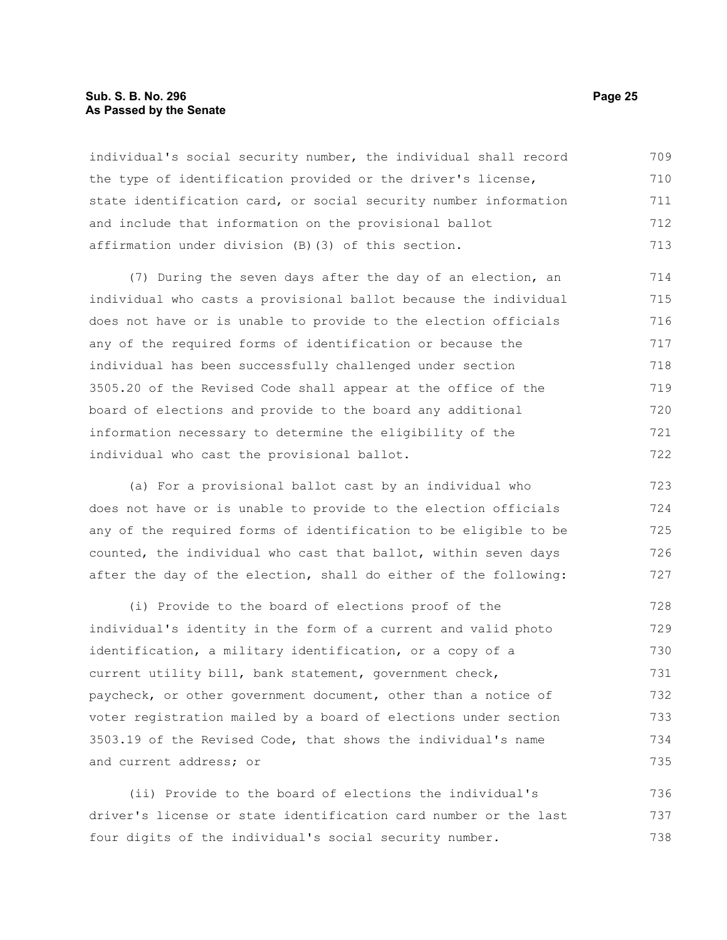#### **Sub. S. B. No. 296 Page 25 As Passed by the Senate**

individual's social security number, the individual shall record the type of identification provided or the driver's license, state identification card, or social security number information and include that information on the provisional ballot affirmation under division (B)(3) of this section. 709 710 711 712 713

(7) During the seven days after the day of an election, an individual who casts a provisional ballot because the individual does not have or is unable to provide to the election officials any of the required forms of identification or because the individual has been successfully challenged under section 3505.20 of the Revised Code shall appear at the office of the board of elections and provide to the board any additional information necessary to determine the eligibility of the individual who cast the provisional ballot. 714 715 716 717 718 719 720 721 722

(a) For a provisional ballot cast by an individual who does not have or is unable to provide to the election officials any of the required forms of identification to be eligible to be counted, the individual who cast that ballot, within seven days after the day of the election, shall do either of the following: 723 724 725 726 727

(i) Provide to the board of elections proof of the individual's identity in the form of a current and valid photo identification, a military identification, or a copy of a current utility bill, bank statement, government check, paycheck, or other government document, other than a notice of voter registration mailed by a board of elections under section 3503.19 of the Revised Code, that shows the individual's name and current address; or 728 729 730 731 732 733 734 735

(ii) Provide to the board of elections the individual's driver's license or state identification card number or the last four digits of the individual's social security number. 736 737 738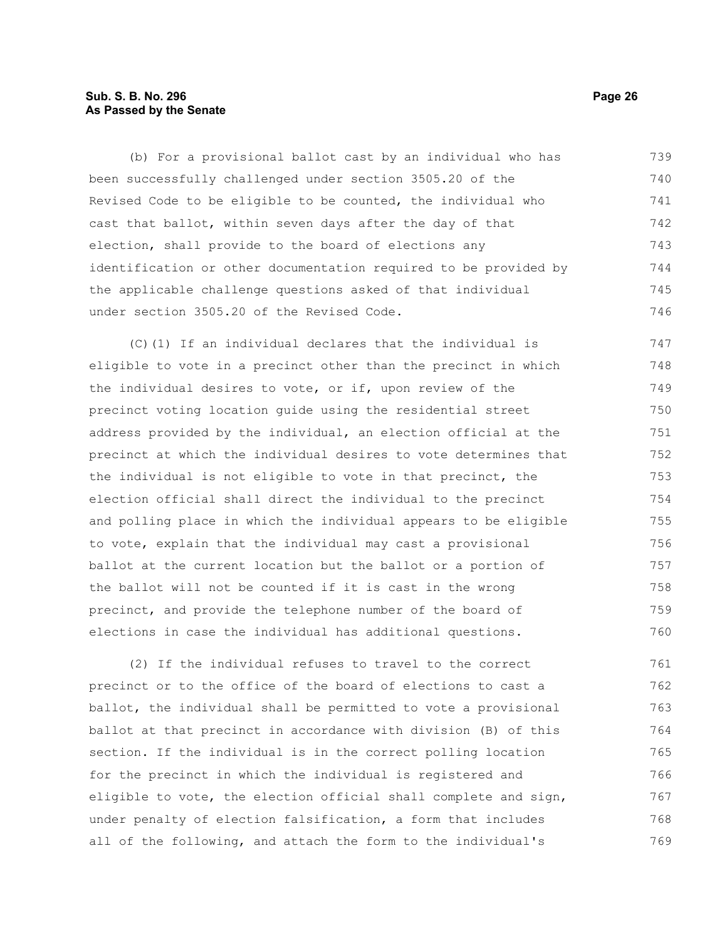# **Sub. S. B. No. 296 Page 26 As Passed by the Senate**

(b) For a provisional ballot cast by an individual who has been successfully challenged under section 3505.20 of the Revised Code to be eligible to be counted, the individual who cast that ballot, within seven days after the day of that election, shall provide to the board of elections any identification or other documentation required to be provided by the applicable challenge questions asked of that individual under section 3505.20 of the Revised Code. 739 740 741 742 743 744 745 746

(C)(1) If an individual declares that the individual is eligible to vote in a precinct other than the precinct in which the individual desires to vote, or if, upon review of the precinct voting location guide using the residential street address provided by the individual, an election official at the precinct at which the individual desires to vote determines that the individual is not eligible to vote in that precinct, the election official shall direct the individual to the precinct and polling place in which the individual appears to be eligible to vote, explain that the individual may cast a provisional ballot at the current location but the ballot or a portion of the ballot will not be counted if it is cast in the wrong precinct, and provide the telephone number of the board of elections in case the individual has additional questions. 747 748 749 750 751 752 753 754 755 756 757 758 759 760

(2) If the individual refuses to travel to the correct precinct or to the office of the board of elections to cast a ballot, the individual shall be permitted to vote a provisional ballot at that precinct in accordance with division (B) of this section. If the individual is in the correct polling location for the precinct in which the individual is registered and eligible to vote, the election official shall complete and sign, under penalty of election falsification, a form that includes all of the following, and attach the form to the individual's 761 762 763 764 765 766 767 768 769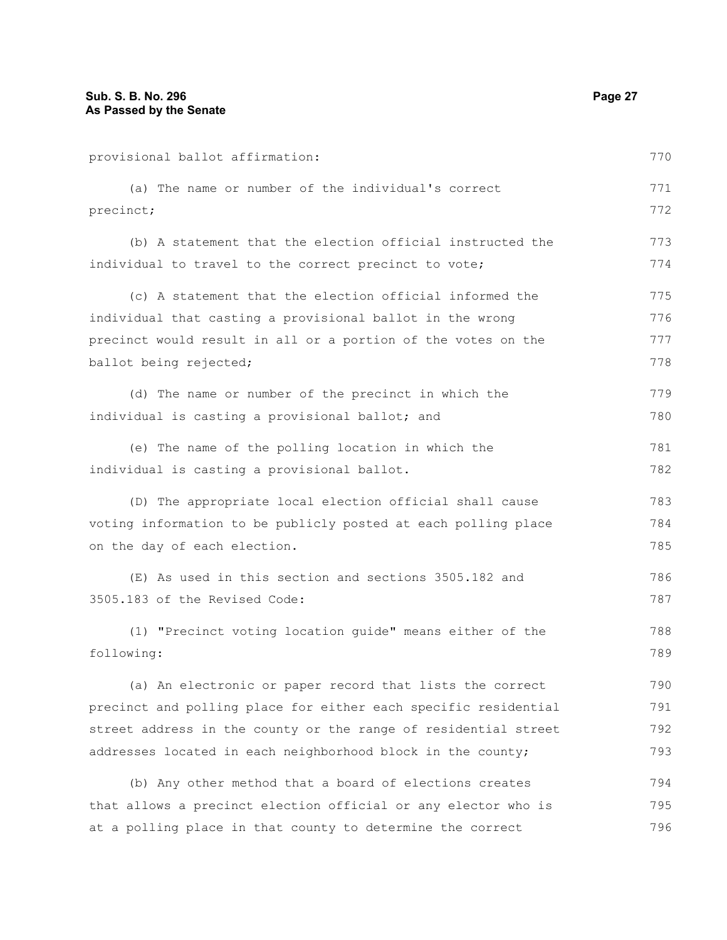provisional ballot affirmation: (a) The name or number of the individual's correct precinct; (b) A statement that the election official instructed the individual to travel to the correct precinct to vote; (c) A statement that the election official informed the individual that casting a provisional ballot in the wrong precinct would result in all or a portion of the votes on the ballot being rejected; (d) The name or number of the precinct in which the individual is casting a provisional ballot; and (e) The name of the polling location in which the individual is casting a provisional ballot. (D) The appropriate local election official shall cause voting information to be publicly posted at each polling place on the day of each election. (E) As used in this section and sections 3505.182 and 3505.183 of the Revised Code: (1) "Precinct voting location guide" means either of the following: (a) An electronic or paper record that lists the correct precinct and polling place for either each specific residential street address in the county or the range of residential street addresses located in each neighborhood block in the county; (b) Any other method that a board of elections creates that allows a precinct election official or any elector who is at a polling place in that county to determine the correct 770 771 772 773 774 775 776 777 778 779 780 781 782 783 784 785 786 787 788 789 790 791 792 793 794 795 796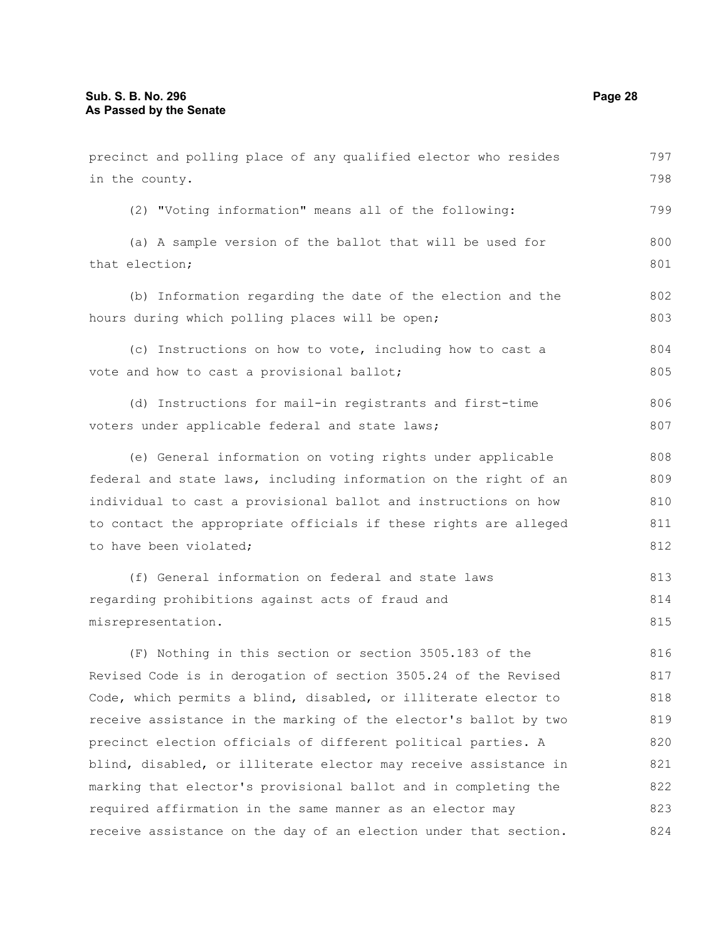in the county.

(2) "Voting information" means all of the following:

(a) A sample version of the ballot that will be used for that election; 800 801

(b) Information regarding the date of the election and the hours during which polling places will be open; 802 803

- (c) Instructions on how to vote, including how to cast a vote and how to cast a provisional ballot; 804 805
- (d) Instructions for mail-in registrants and first-time voters under applicable federal and state laws; 806 807

(e) General information on voting rights under applicable federal and state laws, including information on the right of an individual to cast a provisional ballot and instructions on how to contact the appropriate officials if these rights are alleged to have been violated; 808 809 810 811 812

(f) General information on federal and state laws regarding prohibitions against acts of fraud and misrepresentation. 813 814 815

(F) Nothing in this section or section 3505.183 of the Revised Code is in derogation of section 3505.24 of the Revised Code, which permits a blind, disabled, or illiterate elector to receive assistance in the marking of the elector's ballot by two precinct election officials of different political parties. A blind, disabled, or illiterate elector may receive assistance in marking that elector's provisional ballot and in completing the required affirmation in the same manner as an elector may receive assistance on the day of an election under that section. 816 817 818 819 820 821 822 823 824

797 798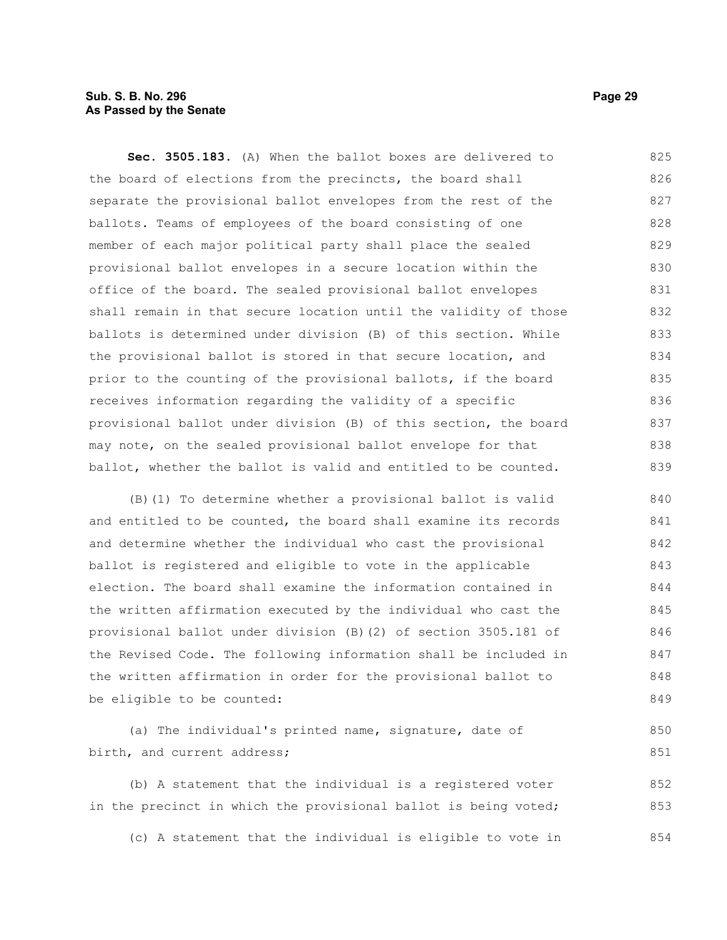# **Sub. S. B. No. 296 Page 29 As Passed by the Senate**

**Sec. 3505.183.** (A) When the ballot boxes are delivered to the board of elections from the precincts, the board shall separate the provisional ballot envelopes from the rest of the ballots. Teams of employees of the board consisting of one member of each major political party shall place the sealed provisional ballot envelopes in a secure location within the office of the board. The sealed provisional ballot envelopes shall remain in that secure location until the validity of those ballots is determined under division (B) of this section. While the provisional ballot is stored in that secure location, and prior to the counting of the provisional ballots, if the board receives information regarding the validity of a specific provisional ballot under division (B) of this section, the board may note, on the sealed provisional ballot envelope for that ballot, whether the ballot is valid and entitled to be counted. 825 826 827 828 829 830 831 832 833 834 835 836 837 838 839

(B)(1) To determine whether a provisional ballot is valid and entitled to be counted, the board shall examine its records and determine whether the individual who cast the provisional ballot is registered and eligible to vote in the applicable election. The board shall examine the information contained in the written affirmation executed by the individual who cast the provisional ballot under division (B)(2) of section 3505.181 of the Revised Code. The following information shall be included in the written affirmation in order for the provisional ballot to be eligible to be counted: 840 841 842 843 844 845 846 847 848 849

(a) The individual's printed name, signature, date of birth, and current address; 850 851

(b) A statement that the individual is a registered voter in the precinct in which the provisional ballot is being voted; 852 853

(c) A statement that the individual is eligible to vote in 854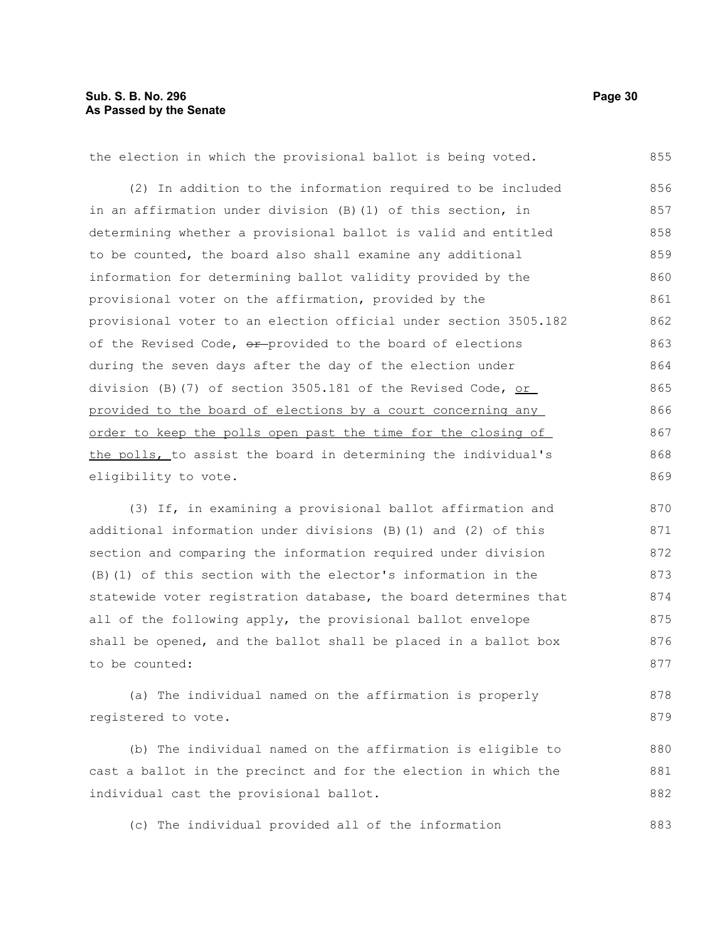| the election in which the provisional ballot is being voted.     | 855 |
|------------------------------------------------------------------|-----|
| (2) In addition to the information required to be included       | 856 |
| in an affirmation under division (B) (1) of this section, in     | 857 |
| determining whether a provisional ballot is valid and entitled   | 858 |
| to be counted, the board also shall examine any additional       | 859 |
| information for determining ballot validity provided by the      | 860 |
| provisional voter on the affirmation, provided by the            | 861 |
| provisional voter to an election official under section 3505.182 | 862 |
| of the Revised Code, or provided to the board of elections       | 863 |
| during the seven days after the day of the election under        | 864 |
| division (B)(7) of section 3505.181 of the Revised Code, $or$    | 865 |
| provided to the board of elections by a court concerning any     | 866 |
| order to keep the polls open past the time for the closing of    | 867 |
| the polls, to assist the board in determining the individual's   | 868 |
| eligibility to vote.                                             | 869 |
| (3) If, in examining a provisional ballot affirmation and        | 870 |
| additional information under divisions (B)(1) and (2) of this    | 871 |
| section and comparing the information required under division    | 872 |
| (B) (1) of this section with the elector's information in the    | 873 |
| statewide voter registration database, the board determines that | 874 |
|                                                                  |     |

all of the following apply, the provisional ballot envelope shall be opened, and the ballot shall be placed in a ballot box to be counted: 875 876 877

(a) The individual named on the affirmation is properly registered to vote. 878 879

(b) The individual named on the affirmation is eligible to cast a ballot in the precinct and for the election in which the individual cast the provisional ballot. 880 881 882

(c) The individual provided all of the information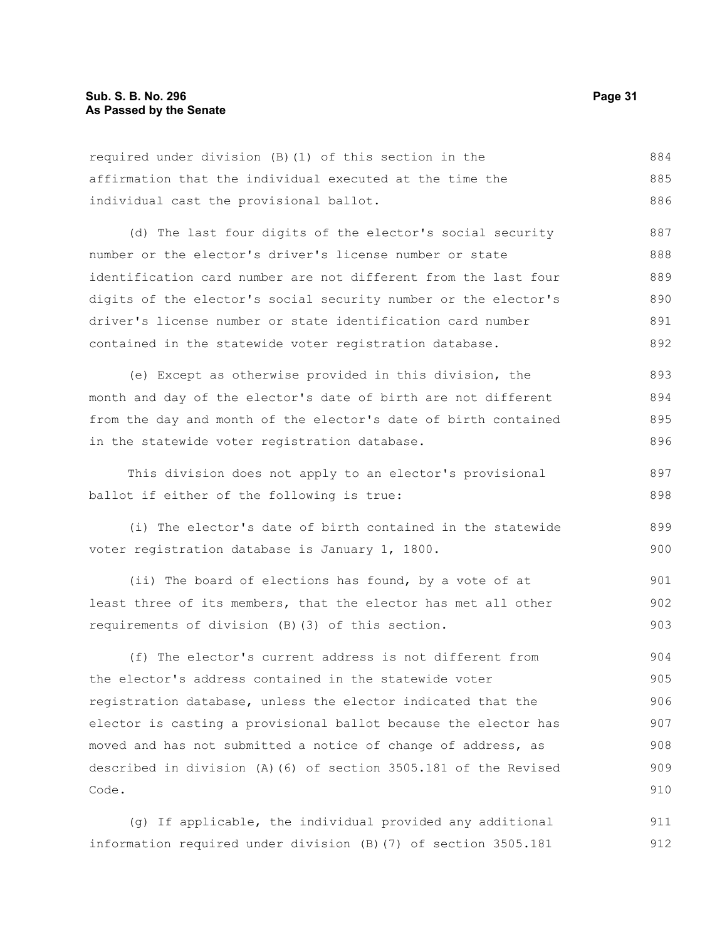| 884<br>required under division (B) (1) of this section in the          |  |
|------------------------------------------------------------------------|--|
| 885<br>affirmation that the individual executed at the time the        |  |
| 886<br>individual cast the provisional ballot.                         |  |
| 887<br>(d) The last four digits of the elector's social security       |  |
| 888<br>number or the elector's driver's license number or state        |  |
| 889<br>identification card number are not different from the last four |  |

digits of the elector's social security number or the elector's driver's license number or state identification card number contained in the statewide voter registration database. 890 891 892

(e) Except as otherwise provided in this division, the month and day of the elector's date of birth are not different from the day and month of the elector's date of birth contained in the statewide voter registration database. 893 894 895 896

This division does not apply to an elector's provisional ballot if either of the following is true: 897 898

(i) The elector's date of birth contained in the statewide voter registration database is January 1, 1800. 899 900

(ii) The board of elections has found, by a vote of at least three of its members, that the elector has met all other requirements of division (B)(3) of this section. 901 902 903

(f) The elector's current address is not different from the elector's address contained in the statewide voter registration database, unless the elector indicated that the elector is casting a provisional ballot because the elector has moved and has not submitted a notice of change of address, as described in division (A)(6) of section 3505.181 of the Revised Code. 904 905 906 907 908 909 910

(g) If applicable, the individual provided any additional information required under division (B)(7) of section 3505.181 911 912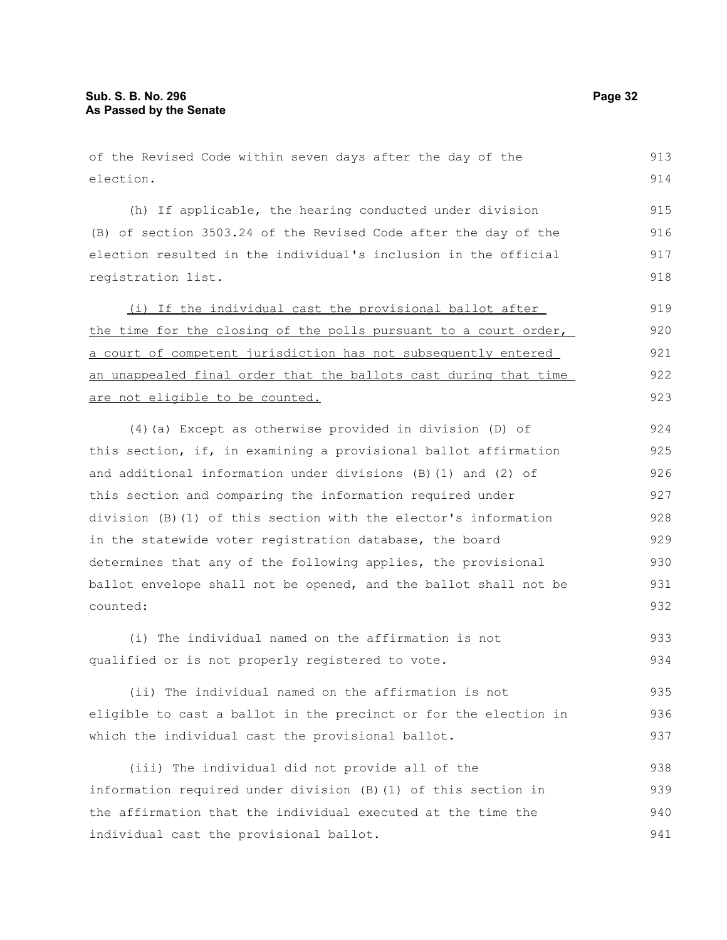of the Revised Code within seven days after the day of the election.

(h) If applicable, the hearing conducted under division (B) of section 3503.24 of the Revised Code after the day of the election resulted in the individual's inclusion in the official registration list. 915 916 917 918

(i) If the individual cast the provisional ballot after the time for the closing of the polls pursuant to a court order, a court of competent jurisdiction has not subsequently entered an unappealed final order that the ballots cast during that time are not eligible to be counted. 919 920 921 922 923

(4)(a) Except as otherwise provided in division (D) of this section, if, in examining a provisional ballot affirmation and additional information under divisions (B)(1) and (2) of this section and comparing the information required under division (B)(1) of this section with the elector's information in the statewide voter registration database, the board determines that any of the following applies, the provisional ballot envelope shall not be opened, and the ballot shall not be counted: 924 925 926 927 928 929 930 931 932

(i) The individual named on the affirmation is not qualified or is not properly registered to vote. 933 934

(ii) The individual named on the affirmation is not eligible to cast a ballot in the precinct or for the election in which the individual cast the provisional ballot. 935 936 937

(iii) The individual did not provide all of the information required under division (B)(1) of this section in the affirmation that the individual executed at the time the individual cast the provisional ballot. 938 939 940 941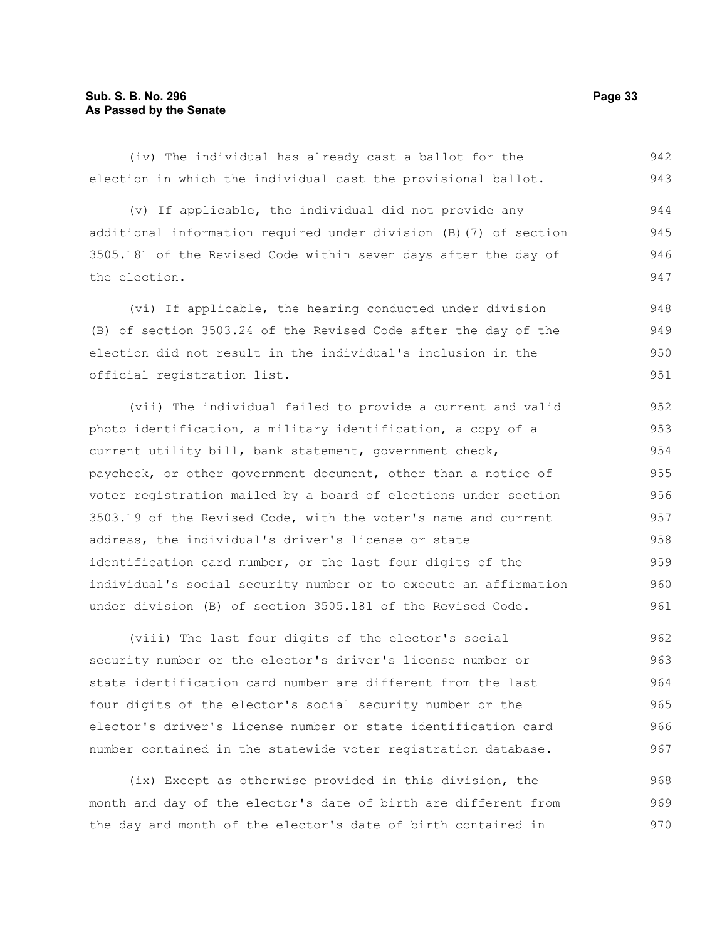(iv) The individual has already cast a ballot for the election in which the individual cast the provisional ballot. 942 943

(v) If applicable, the individual did not provide any additional information required under division (B)(7) of section 3505.181 of the Revised Code within seven days after the day of the election. 944 945 946 947

(vi) If applicable, the hearing conducted under division (B) of section 3503.24 of the Revised Code after the day of the election did not result in the individual's inclusion in the official registration list. 948 949 950 951

(vii) The individual failed to provide a current and valid photo identification, a military identification, a copy of a current utility bill, bank statement, government check, paycheck, or other government document, other than a notice of voter registration mailed by a board of elections under section 3503.19 of the Revised Code, with the voter's name and current address, the individual's driver's license or state identification card number, or the last four digits of the individual's social security number or to execute an affirmation under division (B) of section 3505.181 of the Revised Code. 952 953 954 955 956 957 958 959 960 961

(viii) The last four digits of the elector's social security number or the elector's driver's license number or state identification card number are different from the last four digits of the elector's social security number or the elector's driver's license number or state identification card number contained in the statewide voter registration database. 962 963 964 965 966 967

(ix) Except as otherwise provided in this division, the month and day of the elector's date of birth are different from the day and month of the elector's date of birth contained in 968 969 970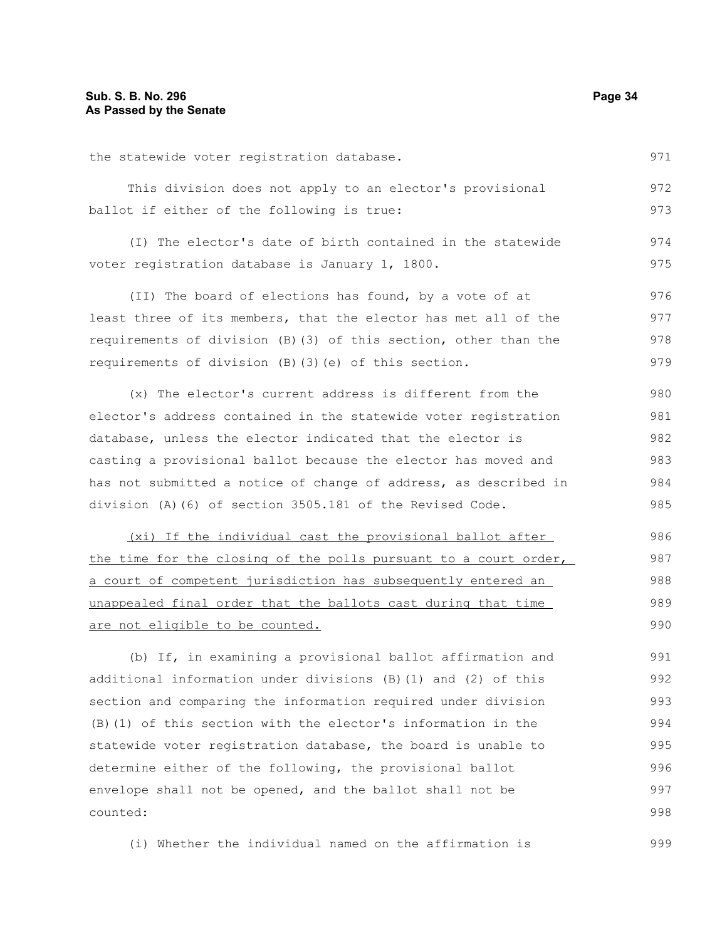the statewide voter registration database. This division does not apply to an elector's provisional ballot if either of the following is true: (I) The elector's date of birth contained in the statewide voter registration database is January 1, 1800. (II) The board of elections has found, by a vote of at least three of its members, that the elector has met all of the requirements of division (B)(3) of this section, other than the requirements of division (B)(3)(e) of this section. (x) The elector's current address is different from the elector's address contained in the statewide voter registration database, unless the elector indicated that the elector is casting a provisional ballot because the elector has moved and has not submitted a notice of change of address, as described in division (A)(6) of section 3505.181 of the Revised Code. (xi) If the individual cast the provisional ballot after the time for the closing of the polls pursuant to a court order, a court of competent jurisdiction has subsequently entered an unappealed final order that the ballots cast during that time are not eligible to be counted. (b) If, in examining a provisional ballot affirmation and additional information under divisions (B)(1) and (2) of this section and comparing the information required under division (B)(1) of this section with the elector's information in the statewide voter registration database, the board is unable to 971 972 973 974 975 976 977 978 979 980 981 982 983 984 985 986 987 988 989 990 991 992 993 994 995

determine either of the following, the provisional ballot envelope shall not be opened, and the ballot shall not be counted: 996 997 998

(i) Whether the individual named on the affirmation is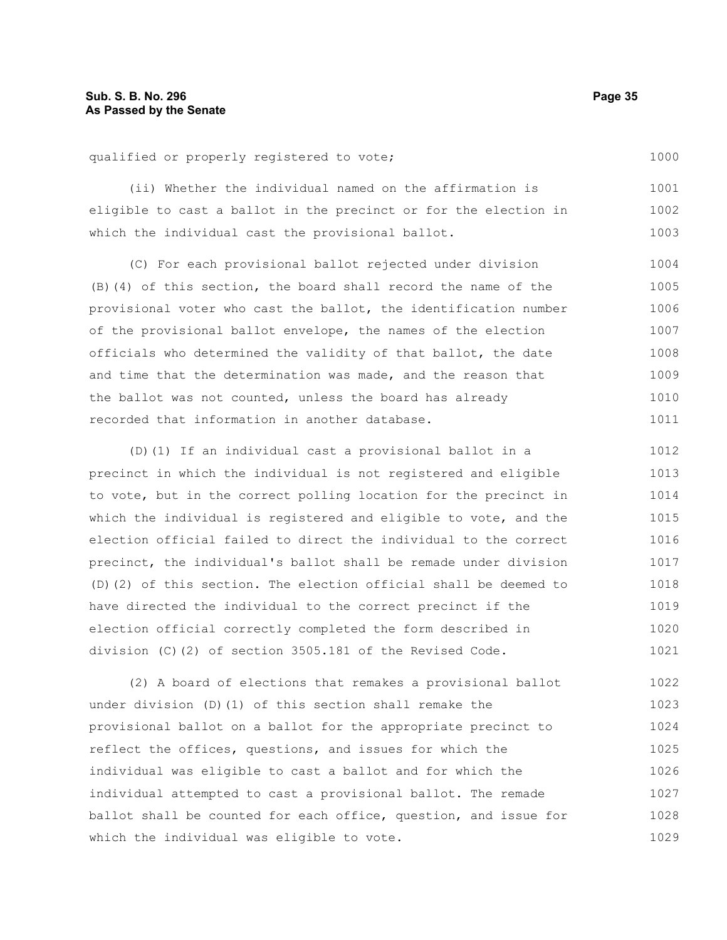qualified or properly registered to vote;

(ii) Whether the individual named on the affirmation is eligible to cast a ballot in the precinct or for the election in which the individual cast the provisional ballot. 1001 1002 1003

(C) For each provisional ballot rejected under division (B)(4) of this section, the board shall record the name of the provisional voter who cast the ballot, the identification number of the provisional ballot envelope, the names of the election officials who determined the validity of that ballot, the date and time that the determination was made, and the reason that the ballot was not counted, unless the board has already recorded that information in another database. 1004 1005 1006 1007 1008 1009 1010 1011

(D)(1) If an individual cast a provisional ballot in a precinct in which the individual is not registered and eligible to vote, but in the correct polling location for the precinct in which the individual is registered and eligible to vote, and the election official failed to direct the individual to the correct precinct, the individual's ballot shall be remade under division (D)(2) of this section. The election official shall be deemed to have directed the individual to the correct precinct if the election official correctly completed the form described in division (C)(2) of section 3505.181 of the Revised Code. 1012 1013 1014 1015 1016 1017 1018 1019 1020 1021

(2) A board of elections that remakes a provisional ballot under division (D)(1) of this section shall remake the provisional ballot on a ballot for the appropriate precinct to reflect the offices, questions, and issues for which the individual was eligible to cast a ballot and for which the individual attempted to cast a provisional ballot. The remade ballot shall be counted for each office, question, and issue for which the individual was eligible to vote. 1022 1023 1024 1025 1026 1027 1028 1029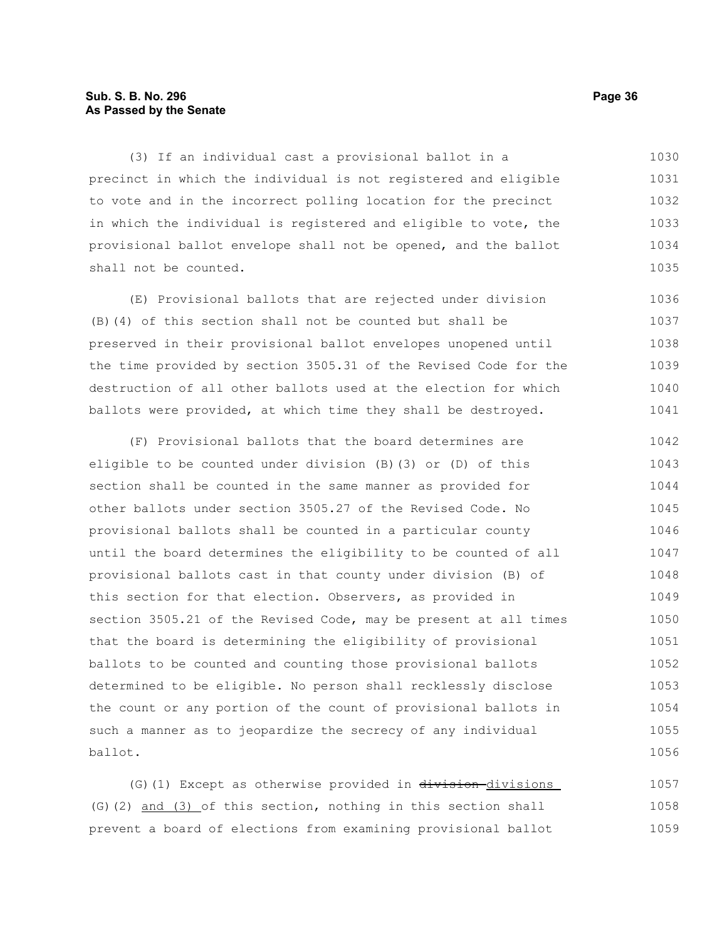# **Sub. S. B. No. 296 Page 36 As Passed by the Senate**

(3) If an individual cast a provisional ballot in a precinct in which the individual is not registered and eligible to vote and in the incorrect polling location for the precinct in which the individual is registered and eligible to vote, the provisional ballot envelope shall not be opened, and the ballot shall not be counted. 1030 1031 1032 1033 1034 1035

(E) Provisional ballots that are rejected under division (B)(4) of this section shall not be counted but shall be preserved in their provisional ballot envelopes unopened until the time provided by section 3505.31 of the Revised Code for the destruction of all other ballots used at the election for which ballots were provided, at which time they shall be destroyed. 1036 1037 1038 1039 1040 1041

(F) Provisional ballots that the board determines are eligible to be counted under division (B)(3) or (D) of this section shall be counted in the same manner as provided for other ballots under section 3505.27 of the Revised Code. No provisional ballots shall be counted in a particular county until the board determines the eligibility to be counted of all provisional ballots cast in that county under division (B) of this section for that election. Observers, as provided in section 3505.21 of the Revised Code, may be present at all times that the board is determining the eligibility of provisional ballots to be counted and counting those provisional ballots determined to be eligible. No person shall recklessly disclose the count or any portion of the count of provisional ballots in such a manner as to jeopardize the secrecy of any individual ballot. 1042 1043 1044 1045 1046 1047 1048 1049 1050 1051 1052 1053 1054 1055 1056

(G)(1) Except as otherwise provided in division-divisions (G)(2) and (3) of this section, nothing in this section shall prevent a board of elections from examining provisional ballot 1057 1058 1059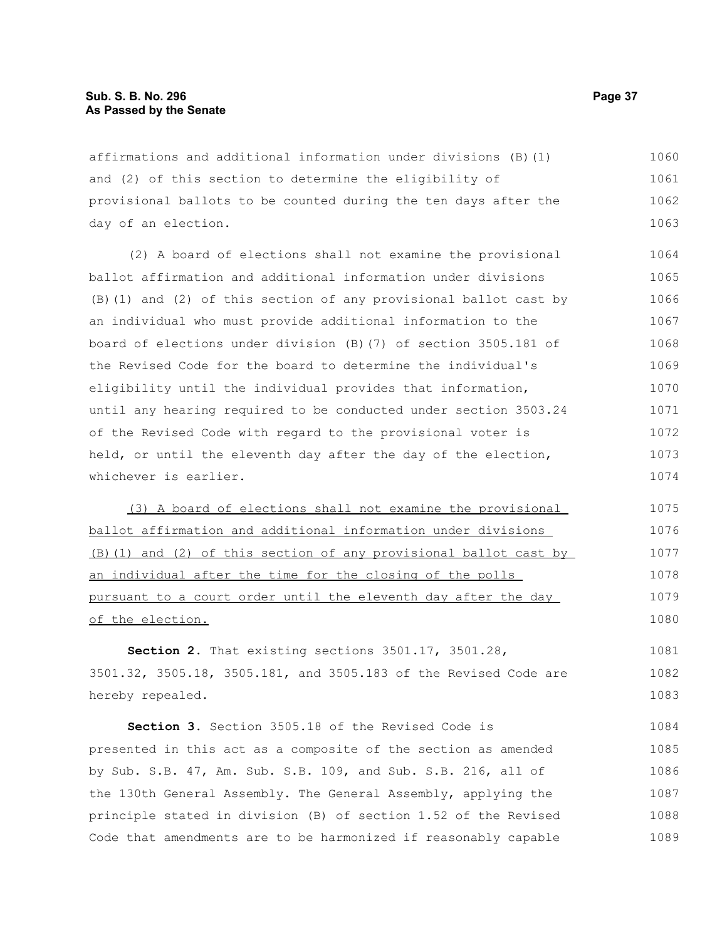## **Sub. S. B. No. 296 Page 37 As Passed by the Senate**

affirmations and additional information under divisions (B)(1) and (2) of this section to determine the eligibility of provisional ballots to be counted during the ten days after the day of an election. 1060 1061 1062 1063

(2) A board of elections shall not examine the provisional ballot affirmation and additional information under divisions (B)(1) and (2) of this section of any provisional ballot cast by an individual who must provide additional information to the board of elections under division (B)(7) of section 3505.181 of the Revised Code for the board to determine the individual's eligibility until the individual provides that information, until any hearing required to be conducted under section 3503.24 of the Revised Code with regard to the provisional voter is held, or until the eleventh day after the day of the election, whichever is earlier. 1064 1065 1066 1067 1068 1069 1070 1071 1072 1073 1074

(3) A board of elections shall not examine the provisional ballot affirmation and additional information under divisions (B)(1) and (2) of this section of any provisional ballot cast by an individual after the time for the closing of the polls pursuant to a court order until the eleventh day after the day of the election.

**Section 2.** That existing sections 3501.17, 3501.28, 3501.32, 3505.18, 3505.181, and 3505.183 of the Revised Code are hereby repealed. 1081 1082 1083

**Section 3.** Section 3505.18 of the Revised Code is presented in this act as a composite of the section as amended by Sub. S.B. 47, Am. Sub. S.B. 109, and Sub. S.B. 216, all of the 130th General Assembly. The General Assembly, applying the principle stated in division (B) of section 1.52 of the Revised Code that amendments are to be harmonized if reasonably capable 1084 1085 1086 1087 1088 1089